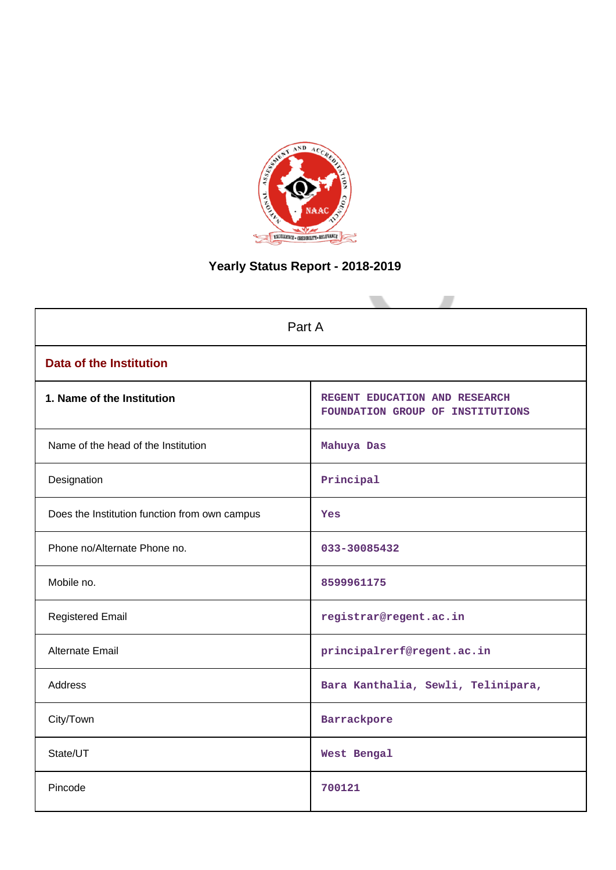

# **Yearly Status Report - 2018-2019**

| Part A                                        |                                                                   |  |  |
|-----------------------------------------------|-------------------------------------------------------------------|--|--|
| <b>Data of the Institution</b>                |                                                                   |  |  |
| 1. Name of the Institution                    | REGENT EDUCATION AND RESEARCH<br>FOUNDATION GROUP OF INSTITUTIONS |  |  |
| Name of the head of the Institution           | Mahuya Das                                                        |  |  |
| Designation                                   | Principal                                                         |  |  |
| Does the Institution function from own campus | Yes                                                               |  |  |
| Phone no/Alternate Phone no.                  | 033-30085432                                                      |  |  |
| Mobile no.                                    | 8599961175                                                        |  |  |
| <b>Registered Email</b>                       | registrar@regent.ac.in                                            |  |  |
| <b>Alternate Email</b>                        | principalrerf@regent.ac.in                                        |  |  |
| <b>Address</b>                                | Bara Kanthalia, Sewli, Telinipara,                                |  |  |
| City/Town                                     | Barrackpore                                                       |  |  |
| State/UT                                      | West Bengal                                                       |  |  |
| Pincode                                       | 700121                                                            |  |  |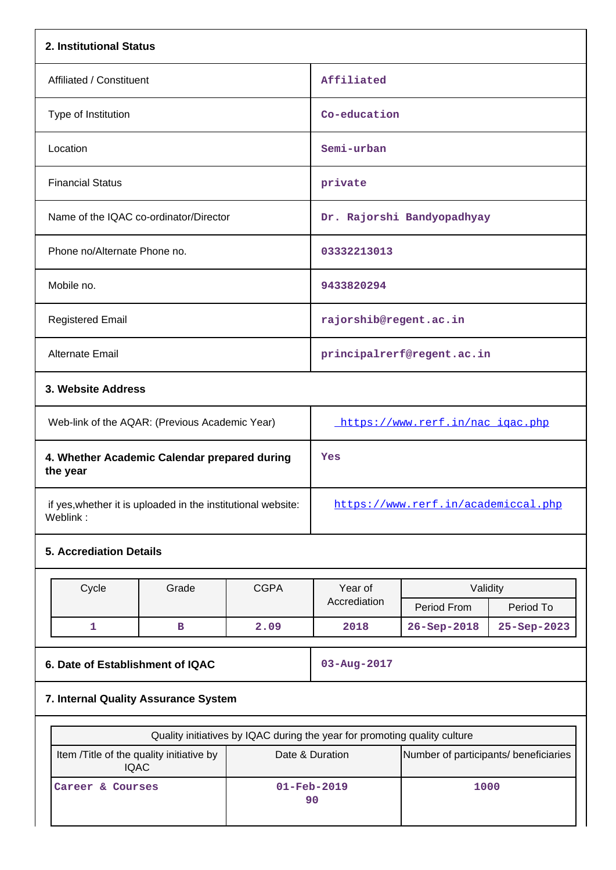| 2. Institutional Status                                  |                                                              |             |                                                                           |                                       |             |  |  |
|----------------------------------------------------------|--------------------------------------------------------------|-------------|---------------------------------------------------------------------------|---------------------------------------|-------------|--|--|
| Affiliated / Constituent                                 |                                                              |             | Affiliated                                                                |                                       |             |  |  |
| Type of Institution                                      |                                                              |             | Co-education                                                              |                                       |             |  |  |
| Location                                                 |                                                              |             | Semi-urban                                                                |                                       |             |  |  |
| <b>Financial Status</b>                                  |                                                              |             | private                                                                   |                                       |             |  |  |
|                                                          | Name of the IQAC co-ordinator/Director                       |             |                                                                           | Dr. Rajorshi Bandyopadhyay            |             |  |  |
| Phone no/Alternate Phone no.                             |                                                              |             | 03332213013                                                               |                                       |             |  |  |
| Mobile no.                                               |                                                              |             | 9433820294                                                                |                                       |             |  |  |
| <b>Registered Email</b>                                  |                                                              |             | rajorshib@regent.ac.in                                                    |                                       |             |  |  |
| Alternate Email                                          |                                                              |             |                                                                           | principalrerf@regent.ac.in            |             |  |  |
|                                                          | 3. Website Address                                           |             |                                                                           |                                       |             |  |  |
| Web-link of the AQAR: (Previous Academic Year)           |                                                              |             | https://www.rerf.in/nac_igac.php                                          |                                       |             |  |  |
| 4. Whether Academic Calendar prepared during<br>the year |                                                              |             | Yes                                                                       |                                       |             |  |  |
| Weblink:                                                 | if yes, whether it is uploaded in the institutional website: |             | https://www.rerf.in/academiccal.php                                       |                                       |             |  |  |
| <b>5. Accrediation Details</b>                           |                                                              |             |                                                                           |                                       |             |  |  |
| Cycle                                                    | Grade                                                        | <b>CGPA</b> | Year of                                                                   | Validity                              |             |  |  |
|                                                          |                                                              |             | Accrediation                                                              | Period From                           | Period To   |  |  |
| $\mathbf{1}$                                             | в                                                            | 2.09        | 2018                                                                      | 26-Sep-2018                           | 25-Sep-2023 |  |  |
| 6. Date of Establishment of IQAC                         |                                                              |             | 03-Aug-2017                                                               |                                       |             |  |  |
| 7. Internal Quality Assurance System                     |                                                              |             |                                                                           |                                       |             |  |  |
|                                                          |                                                              |             | Quality initiatives by IQAC during the year for promoting quality culture |                                       |             |  |  |
|                                                          | Item /Title of the quality initiative by                     |             | Date & Duration                                                           | Number of participants/ beneficiaries |             |  |  |
| <b>IQAC</b><br>01-Feb-2019<br>Career & Courses<br>90     |                                                              |             | 1000                                                                      |                                       |             |  |  |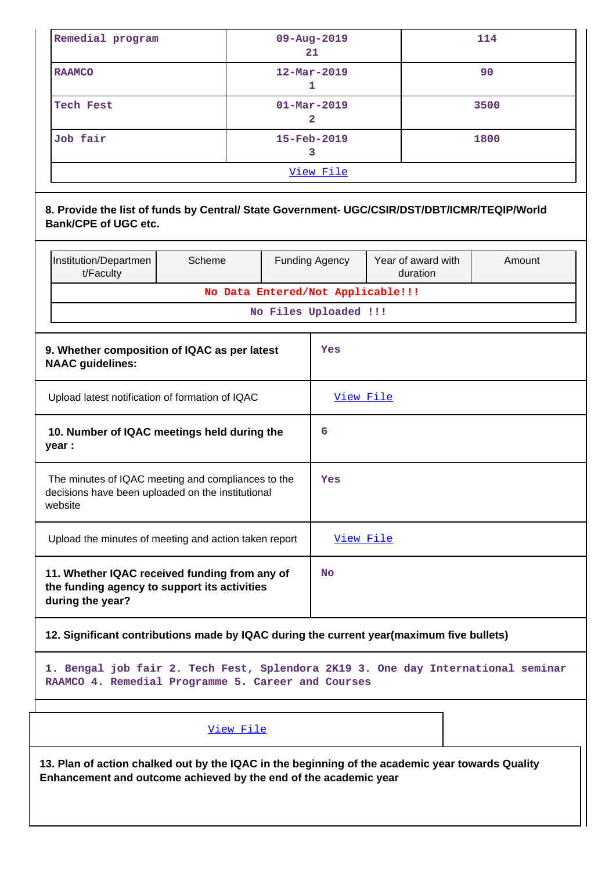| Remedial program | 09-Aug-2019<br>21        | 114  |  |  |
|------------------|--------------------------|------|--|--|
| <b>RAAMCO</b>    | $12 - \text{Mar} - 2019$ | 90   |  |  |
| Tech Fest        | $01 - \text{Mar} - 2019$ | 3500 |  |  |
| Job fair         | $15 - Feb - 2019$        | 1800 |  |  |
| View File        |                          |      |  |  |

### **8. Provide the list of funds by Central/ State Government- UGC/CSIR/DST/DBT/ICMR/TEQIP/World Bank/CPE of UGC etc.**

|                                                                                                                    | Institution/Departmen<br>t/Faculty                                                                                | Scheme                            |     | <b>Funding Agency</b> | Year of award with<br>duration | Amount |
|--------------------------------------------------------------------------------------------------------------------|-------------------------------------------------------------------------------------------------------------------|-----------------------------------|-----|-----------------------|--------------------------------|--------|
|                                                                                                                    |                                                                                                                   | No Data Entered/Not Applicable!!! |     |                       |                                |        |
|                                                                                                                    |                                                                                                                   |                                   |     | No Files Uploaded !!! |                                |        |
|                                                                                                                    |                                                                                                                   |                                   |     |                       |                                |        |
|                                                                                                                    | 9. Whether composition of IQAC as per latest<br><b>NAAC guidelines:</b>                                           |                                   |     | Yes                   |                                |        |
| Upload latest notification of formation of IQAC                                                                    |                                                                                                                   |                                   |     | <u>View File</u>      |                                |        |
| 10. Number of IQAC meetings held during the<br>year :                                                              |                                                                                                                   |                                   | 6   |                       |                                |        |
| The minutes of IQAC meeting and compliances to the<br>decisions have been uploaded on the institutional<br>website |                                                                                                                   |                                   | Yes |                       |                                |        |
|                                                                                                                    | Upload the minutes of meeting and action taken report                                                             |                                   |     | View File             |                                |        |
|                                                                                                                    | 11. Whether IQAC received funding from any of<br>the funding agency to support its activities<br>during the year? |                                   |     | <b>No</b>             |                                |        |

## **12. Significant contributions made by IQAC during the current year(maximum five bullets)**

**1. Bengal job fair 2. Tech Fest, Splendora 2K19 3. One day International seminar RAAMCO 4. Remedial Programme 5. Career and Courses**

### View File

**13. Plan of action chalked out by the IQAC in the beginning of the academic year towards Quality Enhancement and outcome achieved by the end of the academic year**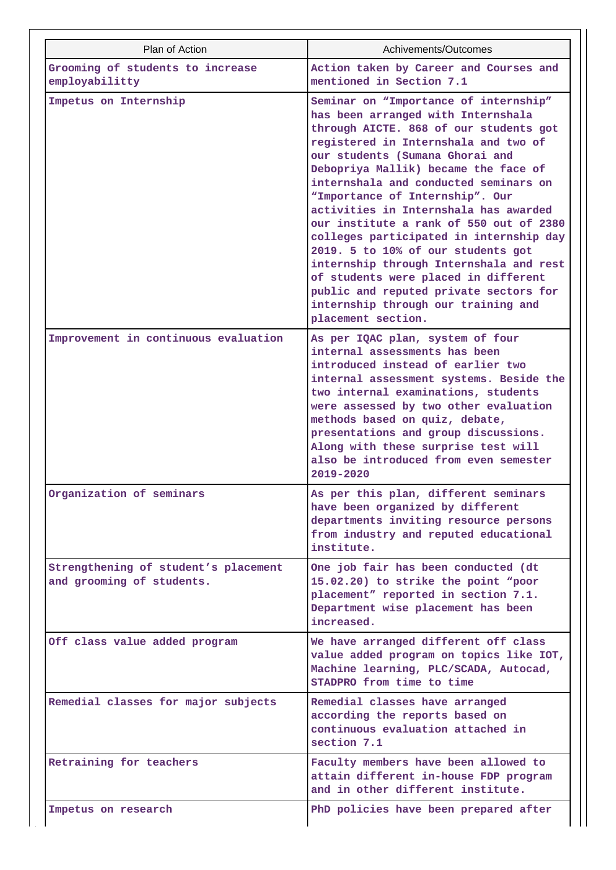| Plan of Action                                                    | Achivements/Outcomes                                                                                                                                                                                                                                                                                                                                                                                                                                                                                                                                                                                                                                                                |
|-------------------------------------------------------------------|-------------------------------------------------------------------------------------------------------------------------------------------------------------------------------------------------------------------------------------------------------------------------------------------------------------------------------------------------------------------------------------------------------------------------------------------------------------------------------------------------------------------------------------------------------------------------------------------------------------------------------------------------------------------------------------|
| Grooming of students to increase<br>employabilitty                | Action taken by Career and Courses and<br>mentioned in Section 7.1                                                                                                                                                                                                                                                                                                                                                                                                                                                                                                                                                                                                                  |
| Impetus on Internship                                             | Seminar on "Importance of internship"<br>has been arranged with Internshala<br>through AICTE. 868 of our students got<br>registered in Internshala and two of<br>our students (Sumana Ghorai and<br>Debopriya Mallik) became the face of<br>internshala and conducted seminars on<br>"Importance of Internship". Our<br>activities in Internshala has awarded<br>our institute a rank of 550 out of 2380<br>colleges participated in internship day<br>2019. 5 to 10% of our students got<br>internship through Internshala and rest<br>of students were placed in different<br>public and reputed private sectors for<br>internship through our training and<br>placement section. |
| Improvement in continuous evaluation                              | As per IQAC plan, system of four<br>internal assessments has been<br>introduced instead of earlier two<br>internal assessment systems. Beside the<br>two internal examinations, students<br>were assessed by two other evaluation<br>methods based on quiz, debate,<br>presentations and group discussions.<br>Along with these surprise test will<br>also be introduced from even semester<br>2019-2020                                                                                                                                                                                                                                                                            |
| Organization of seminars                                          | As per this plan, different seminars<br>have been organized by different<br>departments inviting resource persons<br>from industry and reputed educational<br>institute.                                                                                                                                                                                                                                                                                                                                                                                                                                                                                                            |
| Strengthening of student's placement<br>and grooming of students. | One job fair has been conducted (dt<br>15.02.20) to strike the point "poor<br>placement" reported in section 7.1.<br>Department wise placement has been<br>increased.                                                                                                                                                                                                                                                                                                                                                                                                                                                                                                               |
| Off class value added program                                     | We have arranged different off class<br>value added program on topics like IOT,<br>Machine learning, PLC/SCADA, Autocad,<br>STADPRO from time to time                                                                                                                                                                                                                                                                                                                                                                                                                                                                                                                               |
| Remedial classes for major subjects                               | Remedial classes have arranged<br>according the reports based on<br>continuous evaluation attached in<br>section 7.1                                                                                                                                                                                                                                                                                                                                                                                                                                                                                                                                                                |
| Retraining for teachers                                           | Faculty members have been allowed to<br>attain different in-house FDP program<br>and in other different institute.                                                                                                                                                                                                                                                                                                                                                                                                                                                                                                                                                                  |
| Impetus on research                                               | PhD policies have been prepared after                                                                                                                                                                                                                                                                                                                                                                                                                                                                                                                                                                                                                                               |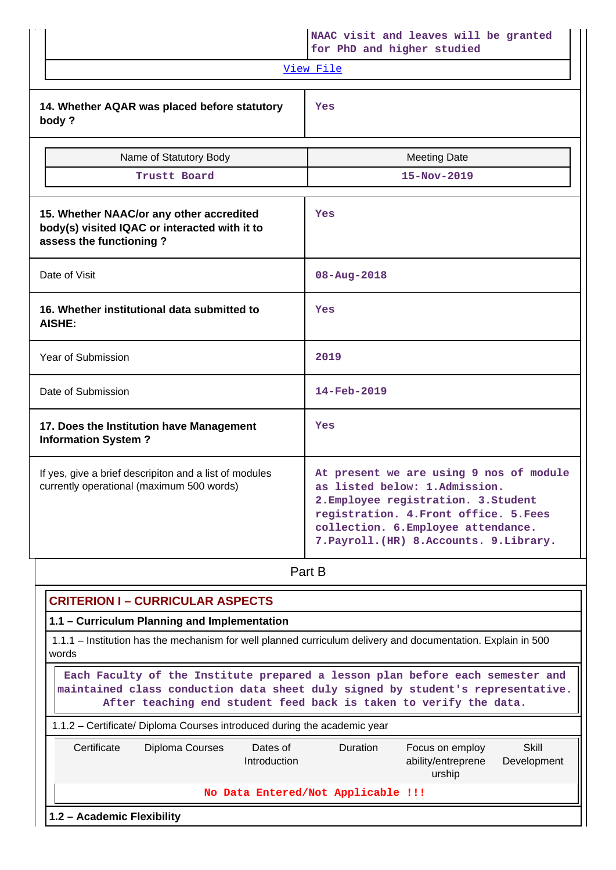|                                                                                                                      | NAAC visit and leaves will be granted<br>for PhD and higher studied                                                                                                                                                                            |  |  |
|----------------------------------------------------------------------------------------------------------------------|------------------------------------------------------------------------------------------------------------------------------------------------------------------------------------------------------------------------------------------------|--|--|
|                                                                                                                      | <u>View File</u>                                                                                                                                                                                                                               |  |  |
| 14. Whether AQAR was placed before statutory<br>body?                                                                | Yes                                                                                                                                                                                                                                            |  |  |
| Name of Statutory Body                                                                                               | <b>Meeting Date</b>                                                                                                                                                                                                                            |  |  |
| Trustt Board                                                                                                         | 15-Nov-2019                                                                                                                                                                                                                                    |  |  |
| 15. Whether NAAC/or any other accredited<br>body(s) visited IQAC or interacted with it to<br>assess the functioning? | Yes                                                                                                                                                                                                                                            |  |  |
| Date of Visit                                                                                                        | 08-Aug-2018                                                                                                                                                                                                                                    |  |  |
| 16. Whether institutional data submitted to<br><b>AISHE:</b>                                                         | Yes                                                                                                                                                                                                                                            |  |  |
| Year of Submission                                                                                                   | 2019                                                                                                                                                                                                                                           |  |  |
| Date of Submission                                                                                                   | 14-Feb-2019                                                                                                                                                                                                                                    |  |  |
| 17. Does the Institution have Management<br><b>Information System?</b>                                               | Yes                                                                                                                                                                                                                                            |  |  |
| If yes, give a brief descripiton and a list of modules<br>currently operational (maximum 500 words)                  | At present we are using 9 nos of module<br>as listed below: 1.Admission.<br>2. Employee registration. 3. Student<br>registration. 4. Front office. 5. Fees<br>collection. 6. Employee attendance.<br>7. Payroll. (HR) 8. Accounts. 9. Library. |  |  |
|                                                                                                                      | Part B                                                                                                                                                                                                                                         |  |  |

| <b>CRITERION I - CURRICULAR ASPECTS</b>                                                                                                                                                                                               |                                                                                             |                                    |                 |                                                 |                      |  |
|---------------------------------------------------------------------------------------------------------------------------------------------------------------------------------------------------------------------------------------|---------------------------------------------------------------------------------------------|------------------------------------|-----------------|-------------------------------------------------|----------------------|--|
|                                                                                                                                                                                                                                       | 1.1 - Curriculum Planning and Implementation                                                |                                    |                 |                                                 |                      |  |
| 1.1.1 – Institution has the mechanism for well planned curriculum delivery and documentation. Explain in 500<br>words                                                                                                                 |                                                                                             |                                    |                 |                                                 |                      |  |
| Each Faculty of the Institute prepared a lesson plan before each semester and<br>maintained class conduction data sheet duly signed by student's representative.<br>After teaching end student feed back is taken to verify the data. |                                                                                             |                                    |                 |                                                 |                      |  |
|                                                                                                                                                                                                                                       |                                                                                             |                                    |                 |                                                 |                      |  |
| Certificate                                                                                                                                                                                                                           | 1.1.2 – Certificate/ Diploma Courses introduced during the academic year<br>Diploma Courses | Dates of<br>Introduction           | <b>Duration</b> | Focus on employ<br>ability/entreprene<br>urship | Skill<br>Development |  |
|                                                                                                                                                                                                                                       |                                                                                             | No Data Entered/Not Applicable !!! |                 |                                                 |                      |  |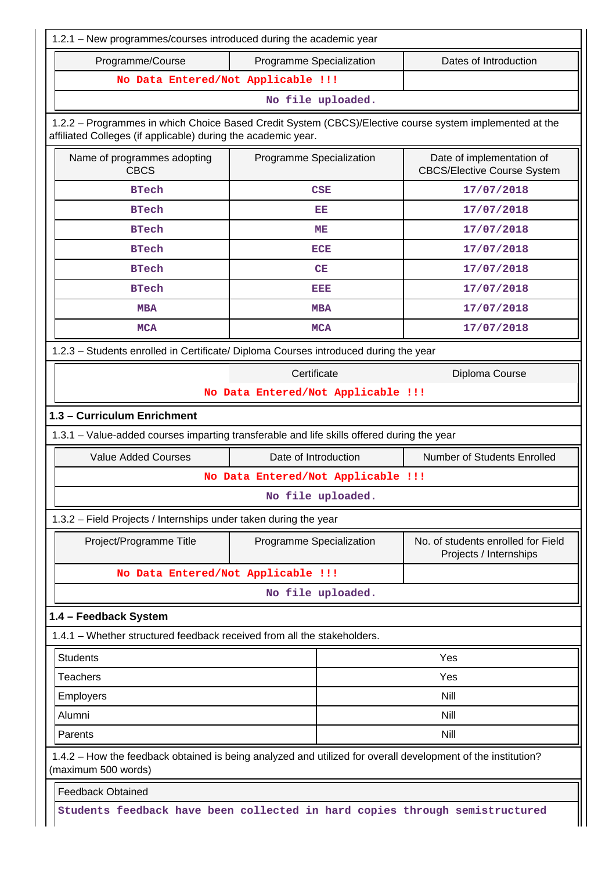| 1.2.1 - New programmes/courses introduced during the academic year                                                                                                       |                                    |                   |                                                                 |  |  |
|--------------------------------------------------------------------------------------------------------------------------------------------------------------------------|------------------------------------|-------------------|-----------------------------------------------------------------|--|--|
| Programme/Course                                                                                                                                                         | Programme Specialization           |                   | Dates of Introduction                                           |  |  |
| No Data Entered/Not Applicable !!!                                                                                                                                       |                                    |                   |                                                                 |  |  |
|                                                                                                                                                                          |                                    | No file uploaded. |                                                                 |  |  |
| 1.2.2 - Programmes in which Choice Based Credit System (CBCS)/Elective course system implemented at the<br>affiliated Colleges (if applicable) during the academic year. |                                    |                   |                                                                 |  |  |
| Name of programmes adopting<br><b>CBCS</b>                                                                                                                               | Programme Specialization           |                   | Date of implementation of<br><b>CBCS/Elective Course System</b> |  |  |
| <b>BTech</b>                                                                                                                                                             |                                    | <b>CSE</b>        | 17/07/2018                                                      |  |  |
| <b>BTech</b>                                                                                                                                                             | 17/07/2018                         |                   |                                                                 |  |  |
| <b>BTech</b>                                                                                                                                                             |                                    | ME                | 17/07/2018                                                      |  |  |
| <b>BTech</b>                                                                                                                                                             |                                    | <b>ECE</b>        | 17/07/2018                                                      |  |  |
| <b>BTech</b>                                                                                                                                                             |                                    | CE                | 17/07/2018                                                      |  |  |
| <b>BTech</b>                                                                                                                                                             |                                    | EEE               | 17/07/2018                                                      |  |  |
| <b>MBA</b>                                                                                                                                                               |                                    | <b>MBA</b>        | 17/07/2018                                                      |  |  |
| <b>MCA</b>                                                                                                                                                               |                                    | <b>MCA</b>        | 17/07/2018                                                      |  |  |
| 1.2.3 - Students enrolled in Certificate/ Diploma Courses introduced during the year                                                                                     |                                    |                   |                                                                 |  |  |
|                                                                                                                                                                          | Certificate                        |                   | Diploma Course                                                  |  |  |
|                                                                                                                                                                          | No Data Entered/Not Applicable !!! |                   |                                                                 |  |  |
| 1.3 - Curriculum Enrichment                                                                                                                                              |                                    |                   |                                                                 |  |  |
| 1.3.1 - Value-added courses imparting transferable and life skills offered during the year                                                                               |                                    |                   |                                                                 |  |  |
| <b>Value Added Courses</b>                                                                                                                                               | Date of Introduction               |                   | Number of Students Enrolled                                     |  |  |
|                                                                                                                                                                          | No Data Entered/Not Applicable !!! |                   |                                                                 |  |  |
|                                                                                                                                                                          |                                    | No file uploaded. |                                                                 |  |  |
| 1.3.2 – Field Projects / Internships under taken during the year                                                                                                         |                                    |                   |                                                                 |  |  |
| Project/Programme Title                                                                                                                                                  | Programme Specialization           |                   | No. of students enrolled for Field<br>Projects / Internships    |  |  |
| No Data Entered/Not Applicable !!!                                                                                                                                       |                                    |                   |                                                                 |  |  |
|                                                                                                                                                                          |                                    | No file uploaded. |                                                                 |  |  |
| 1.4 - Feedback System                                                                                                                                                    |                                    |                   |                                                                 |  |  |
| 1.4.1 – Whether structured feedback received from all the stakeholders.                                                                                                  |                                    |                   |                                                                 |  |  |
| <b>Students</b>                                                                                                                                                          |                                    |                   | Yes                                                             |  |  |
| <b>Teachers</b>                                                                                                                                                          |                                    |                   | Yes                                                             |  |  |
| Employers                                                                                                                                                                |                                    |                   | Nill                                                            |  |  |
| Alumni                                                                                                                                                                   |                                    |                   | Nill                                                            |  |  |
| Parents                                                                                                                                                                  |                                    |                   | Nill                                                            |  |  |
| 1.4.2 – How the feedback obtained is being analyzed and utilized for overall development of the institution?<br>(maximum 500 words)                                      |                                    |                   |                                                                 |  |  |
| <b>Feedback Obtained</b>                                                                                                                                                 |                                    |                   |                                                                 |  |  |
| Students feedback have been collected in hard copies through semistructured                                                                                              |                                    |                   |                                                                 |  |  |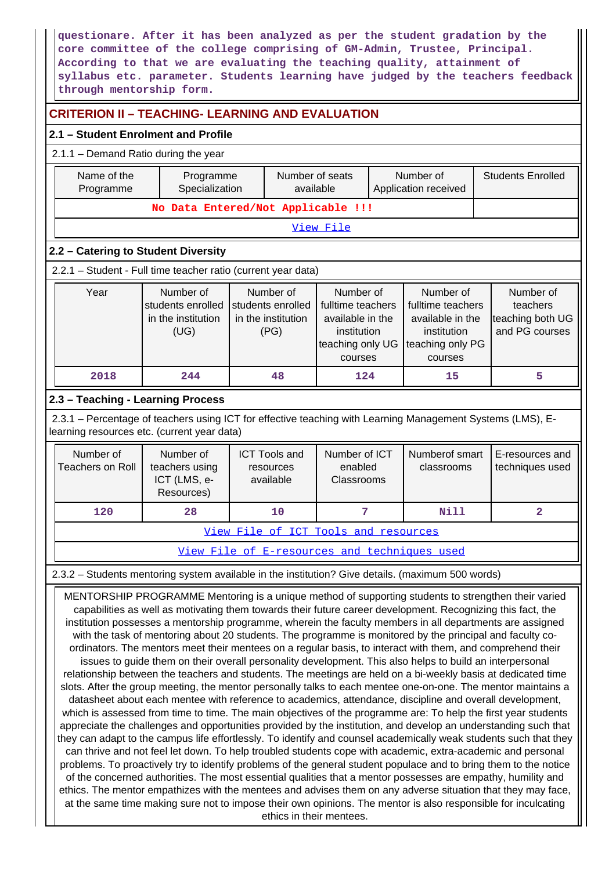**questionare. After it has been analyzed as per the student gradation by the core committee of the college comprising of GM-Admin, Trustee, Principal. According to that we are evaluating the teaching quality, attainment of syllabus etc. parameter. Students learning have judged by the teachers feedback through mentorship form.**

# **CRITERION II – TEACHING- LEARNING AND EVALUATION**

### **2.1 – Student Enrolment and Profile**

### 2.1.1 – Demand Ratio during the year

| Name of the<br>Programme<br>Programme<br>Specialization                                                                                                                                                                                                                                                                                                                                                                                                                                                                                                                                                                                                                                                                                                                                                                                                                                                                                                                                                                                                                                                                                                                                                                                                                                                                                                                                                                                                                            |                                                              | Number of seats<br>available                                                                                                                                     |                                                | Number of<br>Application received                                                                |  | <b>Students Enrolled</b>                                    |  |                                    |
|------------------------------------------------------------------------------------------------------------------------------------------------------------------------------------------------------------------------------------------------------------------------------------------------------------------------------------------------------------------------------------------------------------------------------------------------------------------------------------------------------------------------------------------------------------------------------------------------------------------------------------------------------------------------------------------------------------------------------------------------------------------------------------------------------------------------------------------------------------------------------------------------------------------------------------------------------------------------------------------------------------------------------------------------------------------------------------------------------------------------------------------------------------------------------------------------------------------------------------------------------------------------------------------------------------------------------------------------------------------------------------------------------------------------------------------------------------------------------------|--------------------------------------------------------------|------------------------------------------------------------------------------------------------------------------------------------------------------------------|------------------------------------------------|--------------------------------------------------------------------------------------------------|--|-------------------------------------------------------------|--|------------------------------------|
|                                                                                                                                                                                                                                                                                                                                                                                                                                                                                                                                                                                                                                                                                                                                                                                                                                                                                                                                                                                                                                                                                                                                                                                                                                                                                                                                                                                                                                                                                    | No Data Entered/Not Applicable !!!                           |                                                                                                                                                                  |                                                |                                                                                                  |  |                                                             |  |                                    |
|                                                                                                                                                                                                                                                                                                                                                                                                                                                                                                                                                                                                                                                                                                                                                                                                                                                                                                                                                                                                                                                                                                                                                                                                                                                                                                                                                                                                                                                                                    |                                                              |                                                                                                                                                                  |                                                | View File                                                                                        |  |                                                             |  |                                    |
| 2.2 - Catering to Student Diversity                                                                                                                                                                                                                                                                                                                                                                                                                                                                                                                                                                                                                                                                                                                                                                                                                                                                                                                                                                                                                                                                                                                                                                                                                                                                                                                                                                                                                                                |                                                              |                                                                                                                                                                  |                                                |                                                                                                  |  |                                                             |  |                                    |
| 2.2.1 - Student - Full time teacher ratio (current year data)                                                                                                                                                                                                                                                                                                                                                                                                                                                                                                                                                                                                                                                                                                                                                                                                                                                                                                                                                                                                                                                                                                                                                                                                                                                                                                                                                                                                                      |                                                              |                                                                                                                                                                  |                                                |                                                                                                  |  |                                                             |  |                                    |
| Year                                                                                                                                                                                                                                                                                                                                                                                                                                                                                                                                                                                                                                                                                                                                                                                                                                                                                                                                                                                                                                                                                                                                                                                                                                                                                                                                                                                                                                                                               | Number of<br>students enrolled<br>in the institution<br>(UG) | Number of<br>Number of<br>students enrolled<br>fulltime teachers<br>in the institution<br>available in the<br>(PG)<br>institution<br>teaching only UG<br>courses |                                                | Number of<br>fulltime teachers<br>available in the<br>institution<br>teaching only PG<br>courses |  | Number of<br>teachers<br>teaching both UG<br>and PG courses |  |                                    |
| 2018                                                                                                                                                                                                                                                                                                                                                                                                                                                                                                                                                                                                                                                                                                                                                                                                                                                                                                                                                                                                                                                                                                                                                                                                                                                                                                                                                                                                                                                                               | 244                                                          |                                                                                                                                                                  | 48                                             | 124                                                                                              |  | 15                                                          |  | 5                                  |
| 2.3 - Teaching - Learning Process                                                                                                                                                                                                                                                                                                                                                                                                                                                                                                                                                                                                                                                                                                                                                                                                                                                                                                                                                                                                                                                                                                                                                                                                                                                                                                                                                                                                                                                  |                                                              |                                                                                                                                                                  |                                                |                                                                                                  |  |                                                             |  |                                    |
| 2.3.1 – Percentage of teachers using ICT for effective teaching with Learning Management Systems (LMS), E-<br>learning resources etc. (current year data)                                                                                                                                                                                                                                                                                                                                                                                                                                                                                                                                                                                                                                                                                                                                                                                                                                                                                                                                                                                                                                                                                                                                                                                                                                                                                                                          |                                                              |                                                                                                                                                                  |                                                |                                                                                                  |  |                                                             |  |                                    |
| Number of<br><b>Teachers on Roll</b>                                                                                                                                                                                                                                                                                                                                                                                                                                                                                                                                                                                                                                                                                                                                                                                                                                                                                                                                                                                                                                                                                                                                                                                                                                                                                                                                                                                                                                               | Number of<br>teachers using<br>ICT (LMS, e-<br>Resources)    |                                                                                                                                                                  | <b>ICT Tools and</b><br>resources<br>available | Number of ICT<br>enabled<br>Classrooms                                                           |  | Numberof smart<br>classrooms                                |  | E-resources and<br>techniques used |
| 120                                                                                                                                                                                                                                                                                                                                                                                                                                                                                                                                                                                                                                                                                                                                                                                                                                                                                                                                                                                                                                                                                                                                                                                                                                                                                                                                                                                                                                                                                | 28                                                           |                                                                                                                                                                  | 10                                             | 7                                                                                                |  | <b>Nill</b>                                                 |  | $\overline{\mathbf{2}}$            |
|                                                                                                                                                                                                                                                                                                                                                                                                                                                                                                                                                                                                                                                                                                                                                                                                                                                                                                                                                                                                                                                                                                                                                                                                                                                                                                                                                                                                                                                                                    |                                                              |                                                                                                                                                                  |                                                | View File of ICT Tools and resources                                                             |  |                                                             |  |                                    |
|                                                                                                                                                                                                                                                                                                                                                                                                                                                                                                                                                                                                                                                                                                                                                                                                                                                                                                                                                                                                                                                                                                                                                                                                                                                                                                                                                                                                                                                                                    |                                                              |                                                                                                                                                                  |                                                |                                                                                                  |  | View File of E-resources and techniques used                |  |                                    |
|                                                                                                                                                                                                                                                                                                                                                                                                                                                                                                                                                                                                                                                                                                                                                                                                                                                                                                                                                                                                                                                                                                                                                                                                                                                                                                                                                                                                                                                                                    |                                                              |                                                                                                                                                                  |                                                |                                                                                                  |  |                                                             |  |                                    |
| 2.3.2 - Students mentoring system available in the institution? Give details. (maximum 500 words)<br>MENTORSHIP PROGRAMME Mentoring is a unique method of supporting students to strengthen their varied<br>capabilities as well as motivating them towards their future career development. Recognizing this fact, the<br>institution possesses a mentorship programme, wherein the faculty members in all departments are assigned<br>with the task of mentoring about 20 students. The programme is monitored by the principal and faculty co-<br>ordinators. The mentors meet their mentees on a regular basis, to interact with them, and comprehend their<br>issues to guide them on their overall personality development. This also helps to build an interpersonal<br>relationship between the teachers and students. The meetings are held on a bi-weekly basis at dedicated time<br>slots. After the group meeting, the mentor personally talks to each mentee one-on-one. The mentor maintains a<br>datasheet about each mentee with reference to academics, attendance, discipline and overall development,<br>which is assessed from time to time. The main objectives of the programme are: To help the first year students<br>appreciate the challenges and opportunities provided by the institution, and develop an understanding such that<br>they can adapt to the campus life effortlessly. To identify and counsel academically weak students such that they |                                                              |                                                                                                                                                                  |                                                |                                                                                                  |  |                                                             |  |                                    |

can thrive and not feel let down. To help troubled students cope with academic, extra-academic and personal problems. To proactively try to identify problems of the general student populace and to bring them to the notice of the concerned authorities. The most essential qualities that a mentor possesses are empathy, humility and ethics. The mentor empathizes with the mentees and advises them on any adverse situation that they may face, at the same time making sure not to impose their own opinions. The mentor is also responsible for inculcating ethics in their mentees.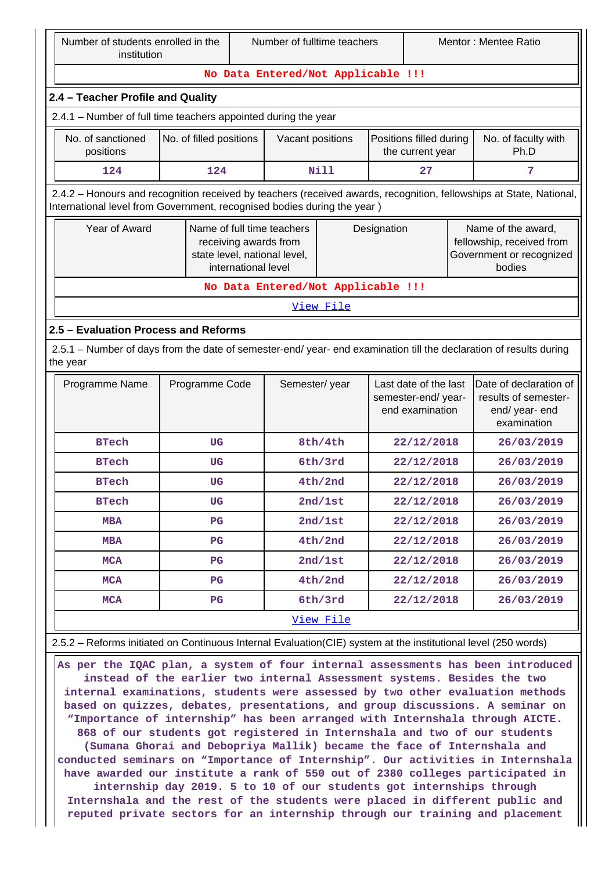Number of fulltime teachers Mentor : Mentee Ratio

#### **No Data Entered/Not Applicable !!!**

### **2.4 – Teacher Profile and Quality**

|                                                                                                                                                                                                | $1$ caonor the original statistics.                                                                                                        |                         |                                                                 |                  |                                                                                       |                             |                                                                                 |  |
|------------------------------------------------------------------------------------------------------------------------------------------------------------------------------------------------|--------------------------------------------------------------------------------------------------------------------------------------------|-------------------------|-----------------------------------------------------------------|------------------|---------------------------------------------------------------------------------------|-----------------------------|---------------------------------------------------------------------------------|--|
| 2.4.1 - Number of full time teachers appointed during the year                                                                                                                                 |                                                                                                                                            |                         |                                                                 |                  |                                                                                       |                             |                                                                                 |  |
|                                                                                                                                                                                                | No. of sanctioned<br>positions                                                                                                             | No. of filled positions | Positions filled during<br>Vacant positions<br>the current year |                  |                                                                                       | No. of faculty with<br>Ph.D |                                                                                 |  |
|                                                                                                                                                                                                | 124                                                                                                                                        | 124                     |                                                                 | Nill             | 27                                                                                    |                             | 7                                                                               |  |
| 2.4.2 - Honours and recognition received by teachers (received awards, recognition, fellowships at State, National,<br>International level from Government, recognised bodies during the year) |                                                                                                                                            |                         |                                                                 |                  |                                                                                       |                             |                                                                                 |  |
|                                                                                                                                                                                                | Year of Award<br>Name of full time teachers<br>Designation<br>receiving awards from<br>state level, national level,<br>international level |                         |                                                                 |                  | Name of the award,<br>fellowship, received from<br>Government or recognized<br>bodies |                             |                                                                                 |  |
|                                                                                                                                                                                                |                                                                                                                                            |                         |                                                                 |                  | No Data Entered/Not Applicable !!!                                                    |                             |                                                                                 |  |
|                                                                                                                                                                                                |                                                                                                                                            |                         |                                                                 | <u>View File</u> |                                                                                       |                             |                                                                                 |  |
|                                                                                                                                                                                                | 2.5 - Evaluation Process and Reforms                                                                                                       |                         |                                                                 |                  |                                                                                       |                             |                                                                                 |  |
|                                                                                                                                                                                                | 2.5.1 – Number of days from the date of semester-end/ year- end examination till the declaration of results during<br>the year             |                         |                                                                 |                  |                                                                                       |                             |                                                                                 |  |
|                                                                                                                                                                                                | Programme Name                                                                                                                             | Programme Code          | Semester/year                                                   |                  | Last date of the last<br>semester-end/year-<br>end examination                        |                             | Date of declaration of<br>results of semester-<br>end/ year- end<br>avamination |  |

|              |             |           | end examination | end/ year- end<br>examination |
|--------------|-------------|-----------|-----------------|-------------------------------|
| <b>BTech</b> | UG          | 8th/4th   | 22/12/2018      | 26/03/2019                    |
| <b>BTech</b> | <b>UG</b>   | 6th/3rd   | 22/12/2018      | 26/03/2019                    |
| <b>BTech</b> | <b>UG</b>   | 4th/2nd   | 22/12/2018      | 26/03/2019                    |
| <b>BTech</b> | <b>UG</b>   | 2nd/1st   | 22/12/2018      | 26/03/2019                    |
| <b>MBA</b>   | $_{\rm PG}$ | 2nd/1st   | 22/12/2018      | 26/03/2019                    |
| <b>MBA</b>   | $_{\rm PG}$ | 4th/2nd   | 22/12/2018      | 26/03/2019                    |
| <b>MCA</b>   | $_{\rm PG}$ | 2nd/1st   | 22/12/2018      | 26/03/2019                    |
| <b>MCA</b>   | $_{\rm PG}$ | 4th/2nd   | 22/12/2018      | 26/03/2019                    |
| <b>MCA</b>   | $_{\rm PG}$ | 6th/3rd   | 22/12/2018      | 26/03/2019                    |
|              |             | View File |                 |                               |

2.5.2 – Reforms initiated on Continuous Internal Evaluation(CIE) system at the institutional level (250 words)

 **As per the IQAC plan, a system of four internal assessments has been introduced instead of the earlier two internal Assessment systems. Besides the two internal examinations, students were assessed by two other evaluation methods based on quizzes, debates, presentations, and group discussions. A seminar on "Importance of internship" has been arranged with Internshala through AICTE. 868 of our students got registered in Internshala and two of our students (Sumana Ghorai and Debopriya Mallik) became the face of Internshala and conducted seminars on "Importance of Internship". Our activities in Internshala have awarded our institute a rank of 550 out of 2380 colleges participated in internship day 2019. 5 to 10 of our students got internships through Internshala and the rest of the students were placed in different public and reputed private sectors for an internship through our training and placement**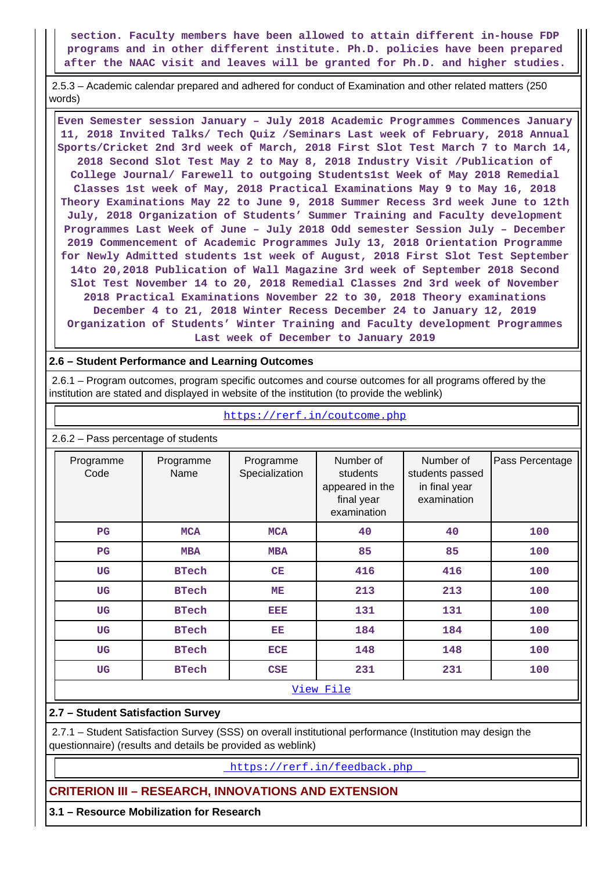**section. Faculty members have been allowed to attain different in-house FDP programs and in other different institute. Ph.D. policies have been prepared after the NAAC visit and leaves will be granted for Ph.D. and higher studies.**

 2.5.3 – Academic calendar prepared and adhered for conduct of Examination and other related matters (250 words)

 **Even Semester session January – July 2018 Academic Programmes Commences January 11, 2018 Invited Talks/ Tech Quiz /Seminars Last week of February, 2018 Annual Sports/Cricket 2nd 3rd week of March, 2018 First Slot Test March 7 to March 14, 2018 Second Slot Test May 2 to May 8, 2018 Industry Visit /Publication of College Journal/ Farewell to outgoing Students1st Week of May 2018 Remedial Classes 1st week of May, 2018 Practical Examinations May 9 to May 16, 2018 Theory Examinations May 22 to June 9, 2018 Summer Recess 3rd week June to 12th July, 2018 Organization of Students' Summer Training and Faculty development Programmes Last Week of June – July 2018 Odd semester Session July – December 2019 Commencement of Academic Programmes July 13, 2018 Orientation Programme for Newly Admitted students 1st week of August, 2018 First Slot Test September 14to 20,2018 Publication of Wall Magazine 3rd week of September 2018 Second Slot Test November 14 to 20, 2018 Remedial Classes 2nd 3rd week of November 2018 Practical Examinations November 22 to 30, 2018 Theory examinations December 4 to 21, 2018 Winter Recess December 24 to January 12, 2019 Organization of Students' Winter Training and Faculty development Programmes Last week of December to January 2019**

### **2.6 – Student Performance and Learning Outcomes**

 2.6.1 – Program outcomes, program specific outcomes and course outcomes for all programs offered by the institution are stated and displayed in website of the institution (to provide the weblink)

https://rerf.in/coutcome.php

| $2.6.2$ – Pass percentage of students |                   |                             |                                                                       |                                                              |                 |  |  |
|---------------------------------------|-------------------|-----------------------------|-----------------------------------------------------------------------|--------------------------------------------------------------|-----------------|--|--|
| Programme<br>Code                     | Programme<br>Name | Programme<br>Specialization | Number of<br>students<br>appeared in the<br>final year<br>examination | Number of<br>students passed<br>in final year<br>examination | Pass Percentage |  |  |
| $_{\rm PG}$                           | <b>MCA</b>        | <b>MCA</b>                  | 40                                                                    | 40                                                           | 100             |  |  |
| $_{\rm PG}$                           | <b>MBA</b>        | <b>MBA</b>                  | 85                                                                    | 85                                                           | 100             |  |  |
| UG                                    | <b>BTech</b>      | CE                          | 416                                                                   | 416                                                          | 100             |  |  |
| <b>UG</b>                             | <b>BTech</b>      | ME                          | 213                                                                   | 213                                                          | 100             |  |  |
| <b>UG</b>                             | <b>BTech</b>      | EEE                         | 131                                                                   | 131                                                          | 100             |  |  |
| <b>UG</b>                             | <b>BTech</b>      | EE                          | 184                                                                   | 184                                                          | 100             |  |  |
| <b>UG</b>                             | <b>BTech</b>      | <b>ECE</b>                  | 148                                                                   | 148                                                          | 100             |  |  |
| <b>UG</b>                             | <b>BTech</b>      | CSE                         | 231                                                                   | 231                                                          | 100             |  |  |
|                                       |                   |                             | <u>View File</u>                                                      |                                                              |                 |  |  |

### **2.7 – Student Satisfaction Survey**

 2.7.1 – Student Satisfaction Survey (SSS) on overall institutional performance (Institution may design the questionnaire) (results and details be provided as weblink)

https://rerf.in/feedback.php

# **CRITERION III – RESEARCH, INNOVATIONS AND EXTENSION**

**3.1 – Resource Mobilization for Research**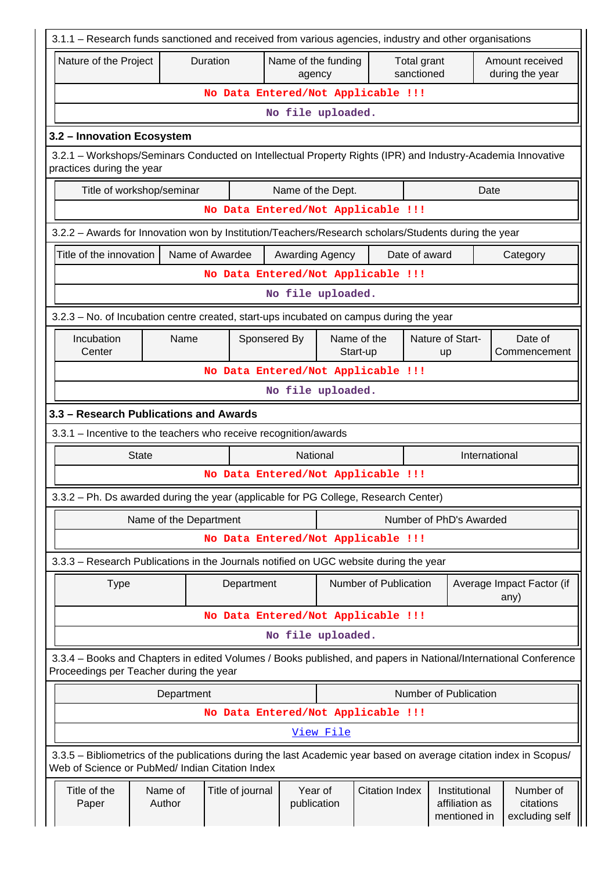| 3.1.1 - Research funds sanctioned and received from various agencies, industry and other organisations                                                                |                                                                                                      |                        |              |                        |           |                                    |               |                                                 |                                          |
|-----------------------------------------------------------------------------------------------------------------------------------------------------------------------|------------------------------------------------------------------------------------------------------|------------------------|--------------|------------------------|-----------|------------------------------------|---------------|-------------------------------------------------|------------------------------------------|
| Duration<br>Name of the funding<br>Amount received<br>Nature of the Project<br>Total grant<br>sanctioned<br>during the year<br>agency                                 |                                                                                                      |                        |              |                        |           |                                    |               |                                                 |                                          |
|                                                                                                                                                                       | No Data Entered/Not Applicable !!!                                                                   |                        |              |                        |           |                                    |               |                                                 |                                          |
|                                                                                                                                                                       | No file uploaded.                                                                                    |                        |              |                        |           |                                    |               |                                                 |                                          |
| 3.2 - Innovation Ecosystem                                                                                                                                            |                                                                                                      |                        |              |                        |           |                                    |               |                                                 |                                          |
| 3.2.1 - Workshops/Seminars Conducted on Intellectual Property Rights (IPR) and Industry-Academia Innovative<br>practices during the year                              |                                                                                                      |                        |              |                        |           |                                    |               |                                                 |                                          |
|                                                                                                                                                                       | Title of workshop/seminar<br>Name of the Dept.<br>Date                                               |                        |              |                        |           |                                    |               |                                                 |                                          |
|                                                                                                                                                                       |                                                                                                      |                        |              |                        |           | No Data Entered/Not Applicable !!! |               |                                                 |                                          |
|                                                                                                                                                                       | 3.2.2 - Awards for Innovation won by Institution/Teachers/Research scholars/Students during the year |                        |              |                        |           |                                    |               |                                                 |                                          |
| Title of the innovation                                                                                                                                               |                                                                                                      | Name of Awardee        |              | Awarding Agency        |           |                                    | Date of award |                                                 | Category                                 |
|                                                                                                                                                                       |                                                                                                      |                        |              |                        |           | No Data Entered/Not Applicable !!! |               |                                                 |                                          |
|                                                                                                                                                                       |                                                                                                      |                        |              | No file uploaded.      |           |                                    |               |                                                 |                                          |
| 3.2.3 - No. of Incubation centre created, start-ups incubated on campus during the year                                                                               |                                                                                                      |                        |              |                        |           |                                    |               |                                                 |                                          |
| Incubation<br>Center                                                                                                                                                  | Name                                                                                                 |                        | Sponsered By |                        |           | Name of the<br>Start-up            |               | Nature of Start-<br>up                          | Date of<br>Commencement                  |
|                                                                                                                                                                       |                                                                                                      |                        |              |                        |           | No Data Entered/Not Applicable !!! |               |                                                 |                                          |
|                                                                                                                                                                       |                                                                                                      |                        |              | No file uploaded.      |           |                                    |               |                                                 |                                          |
| 3.3 - Research Publications and Awards                                                                                                                                |                                                                                                      |                        |              |                        |           |                                    |               |                                                 |                                          |
| 3.3.1 - Incentive to the teachers who receive recognition/awards                                                                                                      |                                                                                                      |                        |              |                        |           |                                    |               |                                                 |                                          |
| <b>State</b>                                                                                                                                                          |                                                                                                      |                        |              | National               |           |                                    |               | International                                   |                                          |
|                                                                                                                                                                       |                                                                                                      |                        |              |                        |           | No Data Entered/Not Applicable !!! |               |                                                 |                                          |
| 3.3.2 – Ph. Ds awarded during the year (applicable for PG College, Research Center)                                                                                   |                                                                                                      |                        |              |                        |           |                                    |               |                                                 |                                          |
|                                                                                                                                                                       |                                                                                                      | Name of the Department |              |                        |           |                                    |               | Number of PhD's Awarded                         |                                          |
|                                                                                                                                                                       |                                                                                                      |                        |              |                        |           | No Data Entered/Not Applicable !!! |               |                                                 |                                          |
| 3.3.3 - Research Publications in the Journals notified on UGC website during the year                                                                                 |                                                                                                      |                        |              |                        |           |                                    |               |                                                 |                                          |
| <b>Type</b>                                                                                                                                                           |                                                                                                      |                        | Department   |                        |           | Number of Publication              |               |                                                 | Average Impact Factor (if<br>any)        |
|                                                                                                                                                                       |                                                                                                      |                        |              |                        |           | No Data Entered/Not Applicable !!! |               |                                                 |                                          |
|                                                                                                                                                                       |                                                                                                      |                        |              | No file uploaded.      |           |                                    |               |                                                 |                                          |
| 3.3.4 - Books and Chapters in edited Volumes / Books published, and papers in National/International Conference<br>Proceedings per Teacher during the year            |                                                                                                      |                        |              |                        |           |                                    |               |                                                 |                                          |
|                                                                                                                                                                       | Department                                                                                           |                        |              |                        |           |                                    |               | Number of Publication                           |                                          |
|                                                                                                                                                                       |                                                                                                      |                        |              |                        |           | No Data Entered/Not Applicable !!! |               |                                                 |                                          |
|                                                                                                                                                                       |                                                                                                      |                        |              |                        | View File |                                    |               |                                                 |                                          |
| 3.3.5 - Bibliometrics of the publications during the last Academic year based on average citation index in Scopus/<br>Web of Science or PubMed/ Indian Citation Index |                                                                                                      |                        |              |                        |           |                                    |               |                                                 |                                          |
| Title of the<br>Paper                                                                                                                                                 | Name of<br>Author                                                                                    | Title of journal       |              | Year of<br>publication |           | <b>Citation Index</b>              |               | Institutional<br>affiliation as<br>mentioned in | Number of<br>citations<br>excluding self |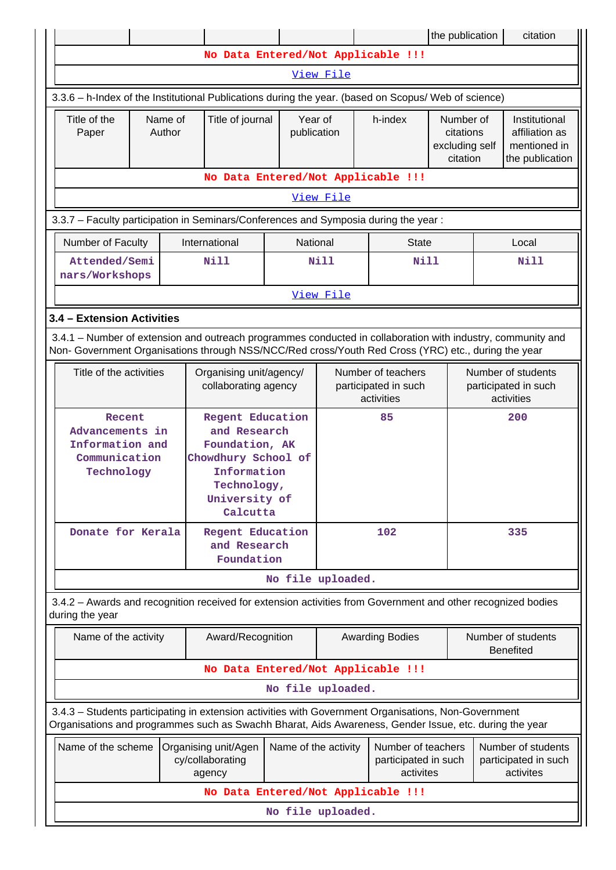|                                                                                                                                                                                                                                                                                                                                  |                   |  |                                                                                                                                             |                        |                                                          |                                                                 | the publication                                          |     | citation                                                           |
|----------------------------------------------------------------------------------------------------------------------------------------------------------------------------------------------------------------------------------------------------------------------------------------------------------------------------------|-------------------|--|---------------------------------------------------------------------------------------------------------------------------------------------|------------------------|----------------------------------------------------------|-----------------------------------------------------------------|----------------------------------------------------------|-----|--------------------------------------------------------------------|
|                                                                                                                                                                                                                                                                                                                                  |                   |  | No Data Entered/Not Applicable !!!                                                                                                          |                        |                                                          |                                                                 |                                                          |     |                                                                    |
|                                                                                                                                                                                                                                                                                                                                  |                   |  |                                                                                                                                             |                        | View File                                                |                                                                 |                                                          |     |                                                                    |
| 3.3.6 - h-Index of the Institutional Publications during the year. (based on Scopus/ Web of science)                                                                                                                                                                                                                             |                   |  |                                                                                                                                             |                        |                                                          |                                                                 |                                                          |     |                                                                    |
| Title of the<br>Paper                                                                                                                                                                                                                                                                                                            | Name of<br>Author |  | Title of journal                                                                                                                            | Year of<br>publication |                                                          | h-index<br>Number of<br>citations<br>excluding self<br>citation |                                                          |     | Institutional<br>affiliation as<br>mentioned in<br>the publication |
| No Data Entered/Not Applicable !!!                                                                                                                                                                                                                                                                                               |                   |  |                                                                                                                                             |                        |                                                          |                                                                 |                                                          |     |                                                                    |
| View File                                                                                                                                                                                                                                                                                                                        |                   |  |                                                                                                                                             |                        |                                                          |                                                                 |                                                          |     |                                                                    |
| 3.3.7 - Faculty participation in Seminars/Conferences and Symposia during the year:                                                                                                                                                                                                                                              |                   |  |                                                                                                                                             |                        |                                                          |                                                                 |                                                          |     |                                                                    |
| Number of Faculty                                                                                                                                                                                                                                                                                                                |                   |  | International                                                                                                                               |                        | National                                                 | <b>State</b>                                                    |                                                          |     | Local                                                              |
| Attended/Semi<br>nars/Workshops                                                                                                                                                                                                                                                                                                  |                   |  | Nill                                                                                                                                        |                        | <b>Nill</b>                                              | <b>Nill</b>                                                     |                                                          |     | <b>Nill</b>                                                        |
|                                                                                                                                                                                                                                                                                                                                  |                   |  |                                                                                                                                             |                        | View File                                                |                                                                 |                                                          |     |                                                                    |
| 3.4 - Extension Activities                                                                                                                                                                                                                                                                                                       |                   |  |                                                                                                                                             |                        |                                                          |                                                                 |                                                          |     |                                                                    |
| 3.4.1 – Number of extension and outreach programmes conducted in collaboration with industry, community and<br>Non- Government Organisations through NSS/NCC/Red cross/Youth Red Cross (YRC) etc., during the year                                                                                                               |                   |  |                                                                                                                                             |                        |                                                          |                                                                 |                                                          |     |                                                                    |
| Title of the activities                                                                                                                                                                                                                                                                                                          |                   |  | Organising unit/agency/<br>collaborating agency                                                                                             |                        | Number of teachers<br>participated in such<br>activities |                                                                 | Number of students<br>participated in such<br>activities |     |                                                                    |
| Recent<br>Advancements in<br>Information and<br>Communication<br>Technology                                                                                                                                                                                                                                                      |                   |  | <b>Regent Education</b><br>and Research<br>Foundation, AK<br>Chowdhury School of<br>Information<br>Technology,<br>University of<br>Calcutta |                        |                                                          | 85                                                              |                                                          |     | 200                                                                |
| Donate for Kerala                                                                                                                                                                                                                                                                                                                |                   |  | Regent Education<br>and Research<br>Foundation                                                                                              |                        | 102                                                      |                                                                 |                                                          | 335 |                                                                    |
|                                                                                                                                                                                                                                                                                                                                  |                   |  |                                                                                                                                             |                        | No file uploaded.                                        |                                                                 |                                                          |     |                                                                    |
| 3.4.2 - Awards and recognition received for extension activities from Government and other recognized bodies<br>during the year                                                                                                                                                                                                  |                   |  |                                                                                                                                             |                        |                                                          |                                                                 |                                                          |     |                                                                    |
| Name of the activity                                                                                                                                                                                                                                                                                                             |                   |  | Award/Recognition                                                                                                                           |                        |                                                          | <b>Awarding Bodies</b>                                          |                                                          |     | Number of students<br><b>Benefited</b>                             |
|                                                                                                                                                                                                                                                                                                                                  |                   |  | No Data Entered/Not Applicable !!!                                                                                                          |                        |                                                          |                                                                 |                                                          |     |                                                                    |
|                                                                                                                                                                                                                                                                                                                                  |                   |  |                                                                                                                                             |                        | No file uploaded.                                        |                                                                 |                                                          |     |                                                                    |
| 3.4.3 - Students participating in extension activities with Government Organisations, Non-Government                                                                                                                                                                                                                             |                   |  |                                                                                                                                             |                        |                                                          |                                                                 |                                                          |     |                                                                    |
| Organisations and programmes such as Swachh Bharat, Aids Awareness, Gender Issue, etc. during the year<br>Name of the scheme<br>Name of the activity<br>Number of teachers<br>Number of students<br>Organising unit/Agen<br>cy/collaborating<br>participated in such<br>participated in such<br>activites<br>activites<br>agency |                   |  |                                                                                                                                             |                        |                                                          |                                                                 |                                                          |     |                                                                    |
|                                                                                                                                                                                                                                                                                                                                  |                   |  | No Data Entered/Not Applicable !!!                                                                                                          |                        |                                                          |                                                                 |                                                          |     |                                                                    |
| No file uploaded.                                                                                                                                                                                                                                                                                                                |                   |  |                                                                                                                                             |                        |                                                          |                                                                 |                                                          |     |                                                                    |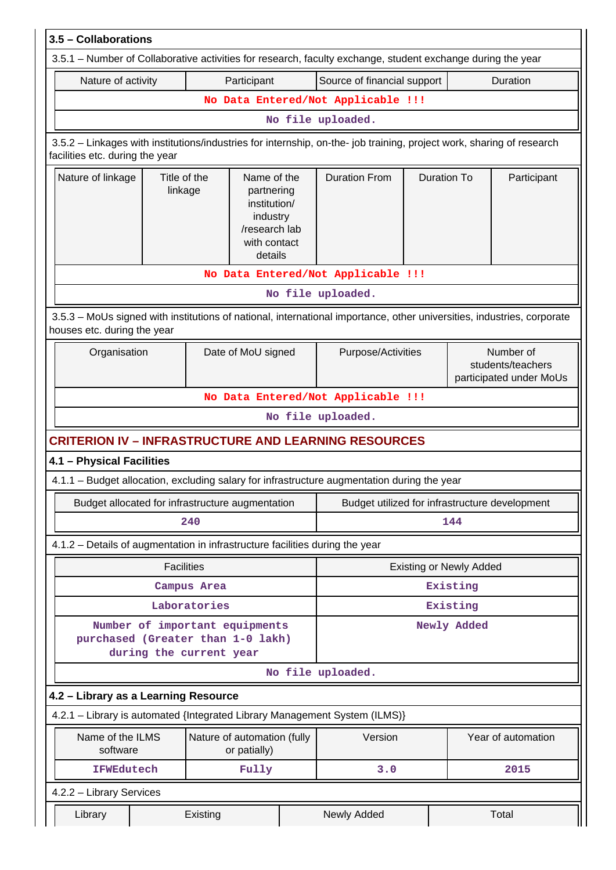| 3.5 - Collaborations                                                                                                                                     |                                                                              |                         |                                                                                                   |  |                                    |                    |             |                                                                                                                  |  |  |  |  |  |  |  |
|----------------------------------------------------------------------------------------------------------------------------------------------------------|------------------------------------------------------------------------------|-------------------------|---------------------------------------------------------------------------------------------------|--|------------------------------------|--------------------|-------------|------------------------------------------------------------------------------------------------------------------|--|--|--|--|--|--|--|
| 3.5.1 – Number of Collaborative activities for research, faculty exchange, student exchange during the year                                              |                                                                              |                         |                                                                                                   |  |                                    |                    |             |                                                                                                                  |  |  |  |  |  |  |  |
| Nature of activity                                                                                                                                       |                                                                              |                         | Participant                                                                                       |  | Source of financial support        |                    |             | Duration                                                                                                         |  |  |  |  |  |  |  |
|                                                                                                                                                          |                                                                              |                         |                                                                                                   |  | No Data Entered/Not Applicable !!! |                    |             |                                                                                                                  |  |  |  |  |  |  |  |
|                                                                                                                                                          | No file uploaded.                                                            |                         |                                                                                                   |  |                                    |                    |             |                                                                                                                  |  |  |  |  |  |  |  |
| 3.5.2 - Linkages with institutions/industries for internship, on-the- job training, project work, sharing of research<br>facilities etc. during the year |                                                                              |                         |                                                                                                   |  |                                    |                    |             |                                                                                                                  |  |  |  |  |  |  |  |
| Nature of linkage<br>Title of the<br>linkage                                                                                                             |                                                                              |                         | Name of the<br>partnering<br>institution/<br>industry<br>/research lab<br>with contact<br>details |  | <b>Duration From</b>               | <b>Duration To</b> |             | Participant                                                                                                      |  |  |  |  |  |  |  |
|                                                                                                                                                          |                                                                              |                         |                                                                                                   |  | No Data Entered/Not Applicable !!! |                    |             |                                                                                                                  |  |  |  |  |  |  |  |
|                                                                                                                                                          |                                                                              |                         |                                                                                                   |  | No file uploaded.                  |                    |             |                                                                                                                  |  |  |  |  |  |  |  |
| 3.5.3 - MoUs signed with institutions of national, international importance, other universities, industries, corporate<br>houses etc. during the year    |                                                                              |                         |                                                                                                   |  |                                    |                    |             |                                                                                                                  |  |  |  |  |  |  |  |
| Date of MoU signed<br>Organisation                                                                                                                       |                                                                              |                         |                                                                                                   |  | Purpose/Activities                 |                    |             | Number of<br>students/teachers<br>participated under MoUs                                                        |  |  |  |  |  |  |  |
|                                                                                                                                                          |                                                                              |                         |                                                                                                   |  | No Data Entered/Not Applicable !!! |                    |             |                                                                                                                  |  |  |  |  |  |  |  |
|                                                                                                                                                          |                                                                              |                         |                                                                                                   |  | No file uploaded.                  |                    |             |                                                                                                                  |  |  |  |  |  |  |  |
| <b>CRITERION IV - INFRASTRUCTURE AND LEARNING RESOURCES</b>                                                                                              |                                                                              |                         |                                                                                                   |  |                                    |                    |             |                                                                                                                  |  |  |  |  |  |  |  |
| 4.1 - Physical Facilities                                                                                                                                |                                                                              |                         |                                                                                                   |  |                                    |                    |             |                                                                                                                  |  |  |  |  |  |  |  |
| 4.1.1 – Budget allocation, excluding salary for infrastructure augmentation during the year                                                              |                                                                              |                         |                                                                                                   |  |                                    |                    |             |                                                                                                                  |  |  |  |  |  |  |  |
|                                                                                                                                                          |                                                                              |                         |                                                                                                   |  |                                    |                    |             |                                                                                                                  |  |  |  |  |  |  |  |
|                                                                                                                                                          |                                                                              |                         |                                                                                                   |  |                                    |                    |             | Budget allocated for infrastructure augmentation<br>Budget utilized for infrastructure development<br>144<br>240 |  |  |  |  |  |  |  |
|                                                                                                                                                          | 4.1.2 - Details of augmentation in infrastructure facilities during the year |                         |                                                                                                   |  |                                    |                    |             |                                                                                                                  |  |  |  |  |  |  |  |
| <b>Facilities</b><br><b>Existing or Newly Added</b>                                                                                                      |                                                                              |                         |                                                                                                   |  |                                    |                    |             |                                                                                                                  |  |  |  |  |  |  |  |
|                                                                                                                                                          |                                                                              |                         |                                                                                                   |  |                                    |                    |             |                                                                                                                  |  |  |  |  |  |  |  |
|                                                                                                                                                          |                                                                              | Campus Area             |                                                                                                   |  |                                    |                    | Existing    |                                                                                                                  |  |  |  |  |  |  |  |
|                                                                                                                                                          |                                                                              | Laboratories            |                                                                                                   |  |                                    |                    | Existing    |                                                                                                                  |  |  |  |  |  |  |  |
| Number of important equipments<br>purchased (Greater than 1-0 lakh)                                                                                      |                                                                              | during the current year |                                                                                                   |  |                                    |                    | Newly Added |                                                                                                                  |  |  |  |  |  |  |  |
|                                                                                                                                                          |                                                                              |                         |                                                                                                   |  | No file uploaded.                  |                    |             |                                                                                                                  |  |  |  |  |  |  |  |
| 4.2 - Library as a Learning Resource                                                                                                                     |                                                                              |                         |                                                                                                   |  |                                    |                    |             |                                                                                                                  |  |  |  |  |  |  |  |
| 4.2.1 - Library is automated {Integrated Library Management System (ILMS)}                                                                               |                                                                              |                         |                                                                                                   |  |                                    |                    |             |                                                                                                                  |  |  |  |  |  |  |  |
| Name of the ILMS<br>software                                                                                                                             |                                                                              |                         | Nature of automation (fully<br>or patially)                                                       |  | Version                            |                    |             | Year of automation                                                                                               |  |  |  |  |  |  |  |
| <b>IFWEdutech</b>                                                                                                                                        |                                                                              |                         | Fully                                                                                             |  | 3.0                                |                    |             | 2015                                                                                                             |  |  |  |  |  |  |  |
| 4.2.2 - Library Services                                                                                                                                 |                                                                              |                         |                                                                                                   |  |                                    |                    |             |                                                                                                                  |  |  |  |  |  |  |  |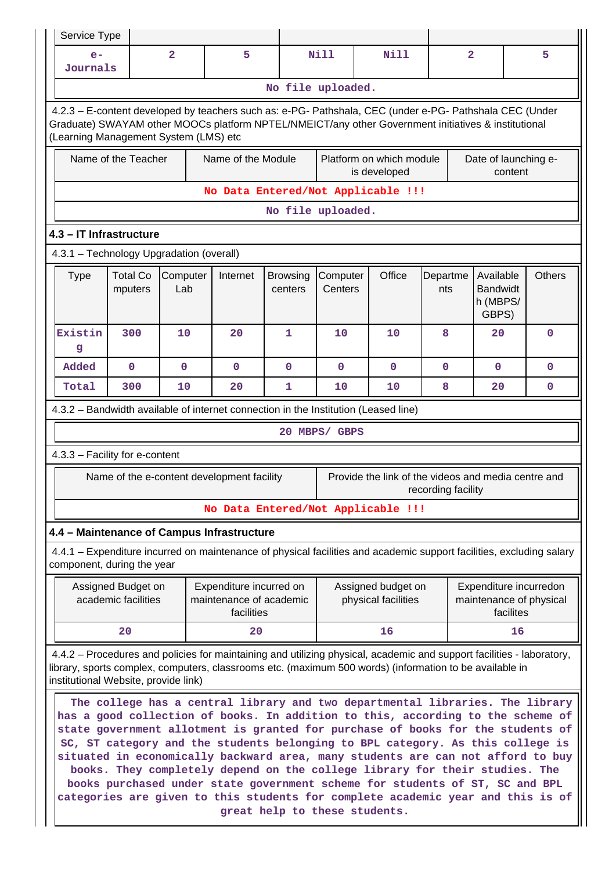| Service Type                                                                                                                                                                                                                                            |                                                                                                                                                                                                                                                                                                                                                                                                                                                                                                                                                                                                                                                                                                                                                     |                |                                                                  |             |               |                                                                                                                       |                    |                                                                |             |
|---------------------------------------------------------------------------------------------------------------------------------------------------------------------------------------------------------------------------------------------------------|-----------------------------------------------------------------------------------------------------------------------------------------------------------------------------------------------------------------------------------------------------------------------------------------------------------------------------------------------------------------------------------------------------------------------------------------------------------------------------------------------------------------------------------------------------------------------------------------------------------------------------------------------------------------------------------------------------------------------------------------------------|----------------|------------------------------------------------------------------|-------------|---------------|-----------------------------------------------------------------------------------------------------------------------|--------------------|----------------------------------------------------------------|-------------|
| $e-$<br>Journals                                                                                                                                                                                                                                        |                                                                                                                                                                                                                                                                                                                                                                                                                                                                                                                                                                                                                                                                                                                                                     | $\overline{a}$ | 5                                                                |             | <b>Nill</b>   | Nill                                                                                                                  | $\overline{a}$     |                                                                | 5           |
|                                                                                                                                                                                                                                                         | No file uploaded.                                                                                                                                                                                                                                                                                                                                                                                                                                                                                                                                                                                                                                                                                                                                   |                |                                                                  |             |               |                                                                                                                       |                    |                                                                |             |
| 4.2.3 - E-content developed by teachers such as: e-PG- Pathshala, CEC (under e-PG- Pathshala CEC (Under<br>Graduate) SWAYAM other MOOCs platform NPTEL/NMEICT/any other Government initiatives & institutional<br>(Learning Management System (LMS) etc |                                                                                                                                                                                                                                                                                                                                                                                                                                                                                                                                                                                                                                                                                                                                                     |                |                                                                  |             |               |                                                                                                                       |                    |                                                                |             |
|                                                                                                                                                                                                                                                         | Name of the Teacher<br>Name of the Module<br>Platform on which module<br>Date of launching e-<br>is developed<br>content                                                                                                                                                                                                                                                                                                                                                                                                                                                                                                                                                                                                                            |                |                                                                  |             |               |                                                                                                                       |                    |                                                                |             |
|                                                                                                                                                                                                                                                         | No Data Entered/Not Applicable !!!                                                                                                                                                                                                                                                                                                                                                                                                                                                                                                                                                                                                                                                                                                                  |                |                                                                  |             |               |                                                                                                                       |                    |                                                                |             |
|                                                                                                                                                                                                                                                         | No file uploaded.                                                                                                                                                                                                                                                                                                                                                                                                                                                                                                                                                                                                                                                                                                                                   |                |                                                                  |             |               |                                                                                                                       |                    |                                                                |             |
|                                                                                                                                                                                                                                                         | 4.3 - IT Infrastructure                                                                                                                                                                                                                                                                                                                                                                                                                                                                                                                                                                                                                                                                                                                             |                |                                                                  |             |               |                                                                                                                       |                    |                                                                |             |
| 4.3.1 - Technology Upgradation (overall)                                                                                                                                                                                                                |                                                                                                                                                                                                                                                                                                                                                                                                                                                                                                                                                                                                                                                                                                                                                     |                |                                                                  |             |               |                                                                                                                       |                    |                                                                |             |
| <b>Total Co</b><br>Computer<br>Internet<br>Office<br><b>Type</b><br><b>Browsing</b><br>Computer<br>Departme<br>Available<br><b>Bandwidt</b><br>Lab<br>Centers<br>mputers<br>centers<br>nts<br>h (MBPS/<br>GBPS)                                         |                                                                                                                                                                                                                                                                                                                                                                                                                                                                                                                                                                                                                                                                                                                                                     |                |                                                                  |             |               |                                                                                                                       |                    | <b>Others</b>                                                  |             |
| Existin<br>g                                                                                                                                                                                                                                            | 300                                                                                                                                                                                                                                                                                                                                                                                                                                                                                                                                                                                                                                                                                                                                                 | 10             | 20                                                               | 1           | 10            | 10                                                                                                                    | 8                  | 20                                                             | $\mathbf 0$ |
| Added                                                                                                                                                                                                                                                   | $\mathbf 0$                                                                                                                                                                                                                                                                                                                                                                                                                                                                                                                                                                                                                                                                                                                                         | $\mathbf{O}$   | $\mathbf 0$                                                      | $\mathbf 0$ | $\mathbf 0$   | $\mathbf 0$                                                                                                           | $\mathbf 0$        | $\mathbf{0}$                                                   | $\mathbf 0$ |
| Total                                                                                                                                                                                                                                                   | 300                                                                                                                                                                                                                                                                                                                                                                                                                                                                                                                                                                                                                                                                                                                                                 | 10             | 20                                                               | 1           | 10            | 10                                                                                                                    | 8                  | 20                                                             | $\mathbf 0$ |
| 4.3.2 – Bandwidth available of internet connection in the Institution (Leased line)                                                                                                                                                                     |                                                                                                                                                                                                                                                                                                                                                                                                                                                                                                                                                                                                                                                                                                                                                     |                |                                                                  |             |               |                                                                                                                       |                    |                                                                |             |
|                                                                                                                                                                                                                                                         |                                                                                                                                                                                                                                                                                                                                                                                                                                                                                                                                                                                                                                                                                                                                                     |                |                                                                  |             | 20 MBPS/ GBPS |                                                                                                                       |                    |                                                                |             |
| 4.3.3 - Facility for e-content                                                                                                                                                                                                                          |                                                                                                                                                                                                                                                                                                                                                                                                                                                                                                                                                                                                                                                                                                                                                     |                |                                                                  |             |               |                                                                                                                       |                    |                                                                |             |
|                                                                                                                                                                                                                                                         |                                                                                                                                                                                                                                                                                                                                                                                                                                                                                                                                                                                                                                                                                                                                                     |                | Name of the e-content development facility                       |             |               | Provide the link of the videos and media centre and                                                                   | recording facility |                                                                |             |
|                                                                                                                                                                                                                                                         |                                                                                                                                                                                                                                                                                                                                                                                                                                                                                                                                                                                                                                                                                                                                                     |                |                                                                  |             |               | No Data Entered/Not Applicable !!!                                                                                    |                    |                                                                |             |
| 4.4 - Maintenance of Campus Infrastructure                                                                                                                                                                                                              |                                                                                                                                                                                                                                                                                                                                                                                                                                                                                                                                                                                                                                                                                                                                                     |                |                                                                  |             |               |                                                                                                                       |                    |                                                                |             |
| 4.4.1 – Expenditure incurred on maintenance of physical facilities and academic support facilities, excluding salary<br>component, during the year                                                                                                      |                                                                                                                                                                                                                                                                                                                                                                                                                                                                                                                                                                                                                                                                                                                                                     |                |                                                                  |             |               |                                                                                                                       |                    |                                                                |             |
|                                                                                                                                                                                                                                                         | Assigned Budget on<br>academic facilities                                                                                                                                                                                                                                                                                                                                                                                                                                                                                                                                                                                                                                                                                                           |                | Expenditure incurred on<br>maintenance of academic<br>facilities |             |               | Assigned budget on<br>physical facilities                                                                             |                    | Expenditure incurredon<br>maintenance of physical<br>facilites |             |
|                                                                                                                                                                                                                                                         | 20                                                                                                                                                                                                                                                                                                                                                                                                                                                                                                                                                                                                                                                                                                                                                  |                | 20                                                               |             |               | 16                                                                                                                    |                    | 16                                                             |             |
| library, sports complex, computers, classrooms etc. (maximum 500 words) (information to be available in                                                                                                                                                 |                                                                                                                                                                                                                                                                                                                                                                                                                                                                                                                                                                                                                                                                                                                                                     |                |                                                                  |             |               | 4.4.2 – Procedures and policies for maintaining and utilizing physical, academic and support facilities - laboratory, |                    |                                                                |             |
|                                                                                                                                                                                                                                                         | institutional Website, provide link)<br>The college has a central library and two departmental libraries. The library<br>has a good collection of books. In addition to this, according to the scheme of<br>state government allotment is granted for purchase of books for the students of<br>SC, ST category and the students belonging to BPL category. As this college is<br>situated in economically backward area, many students are can not afford to buy<br>books. They completely depend on the college library for their studies. The<br>books purchased under state government scheme for students of ST, SC and BPL<br>categories are given to this students for complete academic year and this is of<br>great help to these students. |                |                                                                  |             |               |                                                                                                                       |                    |                                                                |             |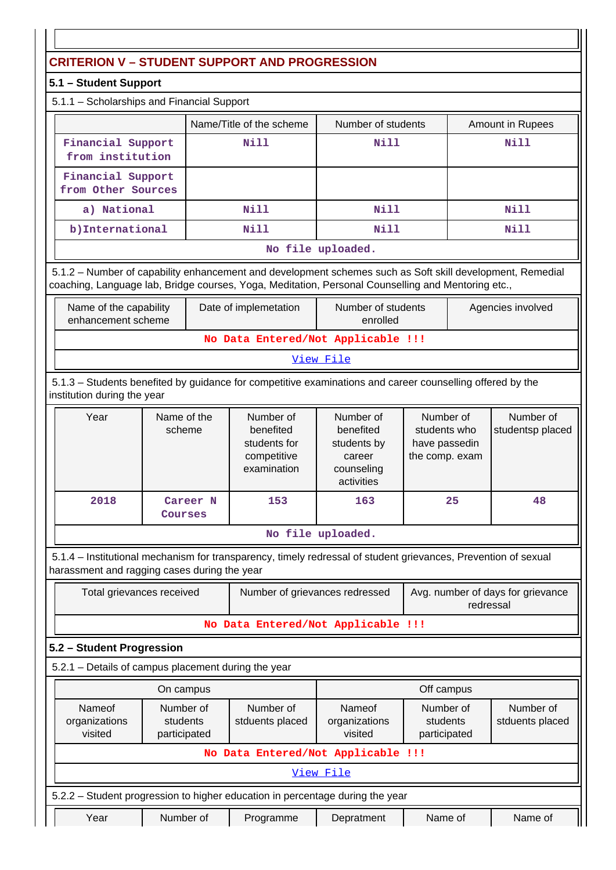# **CRITERION V – STUDENT SUPPORT AND PROGRESSION**

# **5.1 – Student Support**

| 5.1.1 - Scholarships and Financial Support |  |
|--------------------------------------------|--|
|--------------------------------------------|--|

|                                         | Name/Title of the scheme | Number of students  | Amount in Rupees |  |
|-----------------------------------------|--------------------------|---------------------|------------------|--|
| Financial Support<br>from institution   | Nill                     | Nill                | Nill             |  |
| Financial Support<br>from Other Sources |                          |                     |                  |  |
| a) National                             | Nill                     | Nill                | Nill             |  |
| b) International                        | Nill                     | Nill                | Nill             |  |
|                                         |                          | Ata 221a Gualacidad |                  |  |

#### **No file uploaded.**

 5.1.2 – Number of capability enhancement and development schemes such as Soft skill development, Remedial coaching, Language lab, Bridge courses, Yoga, Meditation, Personal Counselling and Mentoring etc.,

| Name of the capability<br>enhancement scheme | Date of implemetation | Number of students<br>enrolled | Agencies involved |  |  |  |  |
|----------------------------------------------|-----------------------|--------------------------------|-------------------|--|--|--|--|
| No Data Entered/Not Applicable !!!           |                       |                                |                   |  |  |  |  |

### View File

 5.1.3 – Students benefited by guidance for competitive examinations and career counselling offered by the institution during the year

| Year | Name of the<br>scheme | Number of<br>benefited<br>students for<br>competitive<br>examination | Number of<br>benefited<br>students by<br>career<br>counseling<br>activities | Number of<br>students who<br>have passedin<br>the comp. exam | Number of<br>studentsp placed |
|------|-----------------------|----------------------------------------------------------------------|-----------------------------------------------------------------------------|--------------------------------------------------------------|-------------------------------|
| 2018 | Career N<br>Courses   | 153                                                                  | 163                                                                         | 25                                                           | 48                            |

### **No file uploaded.**

 5.1.4 – Institutional mechanism for transparency, timely redressal of student grievances, Prevention of sexual harassment and ragging cases during the year

| Total grievances received | Number of grievances redressed     | Avg. number of days for grievance<br>redressal |
|---------------------------|------------------------------------|------------------------------------------------|
|                           | No Data Entered/Not Applicable !!! |                                                |

## **5.2 – Student Progression**

|                                                                    |                                                                                                             | On campus |                                                                               | Off campus                         |                              |  |  |
|--------------------------------------------------------------------|-------------------------------------------------------------------------------------------------------------|-----------|-------------------------------------------------------------------------------|------------------------------------|------------------------------|--|--|
|                                                                    | Number of<br>Nameof<br>Number of<br>organizations<br>stduents placed<br>students<br>visited<br>participated |           |                                                                               | Nameof<br>organizations<br>visited | Number of<br>stduents placed |  |  |
|                                                                    |                                                                                                             |           |                                                                               | No Data Entered/Not Applicable !!! |                              |  |  |
|                                                                    |                                                                                                             |           |                                                                               | View File                          |                              |  |  |
|                                                                    |                                                                                                             |           | 5.2.2 – Student progression to higher education in percentage during the year |                                    |                              |  |  |
| Number of<br>Year<br>Name of<br>Name of<br>Depratment<br>Programme |                                                                                                             |           |                                                                               |                                    |                              |  |  |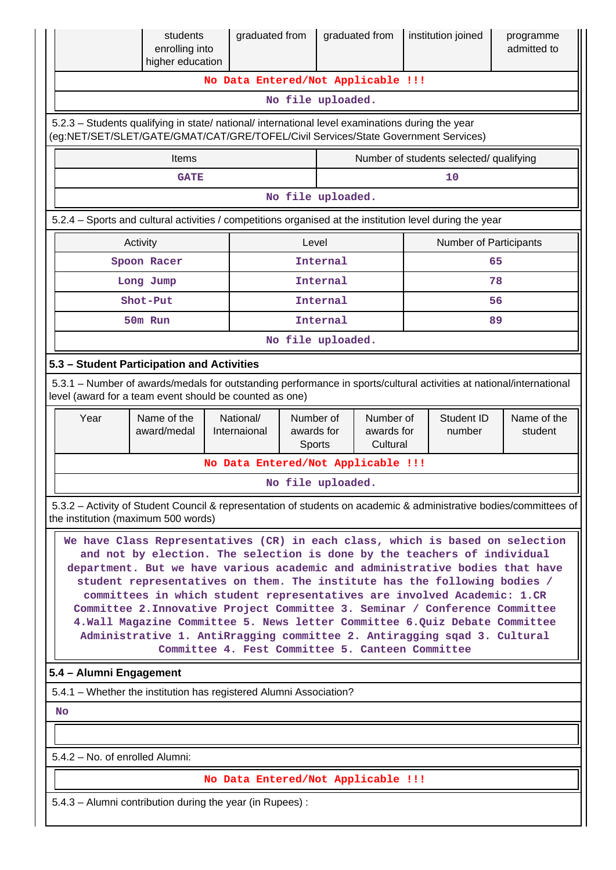|                                                                                                                                                                                        | students<br>enrolling into<br>higher education                                                                                                                                                                                                                                                                                                                                                                                                                                                                                                                                                                                                                                                   |  | graduated from                     |                                   |                   | graduated from                      |  | institution joined     | programme<br>admitted to                                                                                            |
|----------------------------------------------------------------------------------------------------------------------------------------------------------------------------------------|--------------------------------------------------------------------------------------------------------------------------------------------------------------------------------------------------------------------------------------------------------------------------------------------------------------------------------------------------------------------------------------------------------------------------------------------------------------------------------------------------------------------------------------------------------------------------------------------------------------------------------------------------------------------------------------------------|--|------------------------------------|-----------------------------------|-------------------|-------------------------------------|--|------------------------|---------------------------------------------------------------------------------------------------------------------|
|                                                                                                                                                                                        |                                                                                                                                                                                                                                                                                                                                                                                                                                                                                                                                                                                                                                                                                                  |  | No Data Entered/Not Applicable !!! |                                   |                   |                                     |  |                        |                                                                                                                     |
|                                                                                                                                                                                        |                                                                                                                                                                                                                                                                                                                                                                                                                                                                                                                                                                                                                                                                                                  |  |                                    |                                   | No file uploaded. |                                     |  |                        |                                                                                                                     |
| 5.2.3 - Students qualifying in state/ national/ international level examinations during the year<br>(eq:NET/SET/SLET/GATE/GMAT/CAT/GRE/TOFEL/Civil Services/State Government Services) |                                                                                                                                                                                                                                                                                                                                                                                                                                                                                                                                                                                                                                                                                                  |  |                                    |                                   |                   |                                     |  |                        |                                                                                                                     |
|                                                                                                                                                                                        | Number of students selected/ qualifying<br><b>Items</b>                                                                                                                                                                                                                                                                                                                                                                                                                                                                                                                                                                                                                                          |  |                                    |                                   |                   |                                     |  |                        |                                                                                                                     |
| 10<br><b>GATE</b>                                                                                                                                                                      |                                                                                                                                                                                                                                                                                                                                                                                                                                                                                                                                                                                                                                                                                                  |  |                                    |                                   |                   |                                     |  |                        |                                                                                                                     |
|                                                                                                                                                                                        | No file uploaded.                                                                                                                                                                                                                                                                                                                                                                                                                                                                                                                                                                                                                                                                                |  |                                    |                                   |                   |                                     |  |                        |                                                                                                                     |
| 5.2.4 – Sports and cultural activities / competitions organised at the institution level during the year                                                                               |                                                                                                                                                                                                                                                                                                                                                                                                                                                                                                                                                                                                                                                                                                  |  |                                    |                                   |                   |                                     |  |                        |                                                                                                                     |
|                                                                                                                                                                                        | Activity                                                                                                                                                                                                                                                                                                                                                                                                                                                                                                                                                                                                                                                                                         |  |                                    | Level                             |                   |                                     |  | Number of Participants |                                                                                                                     |
|                                                                                                                                                                                        | Spoon Racer                                                                                                                                                                                                                                                                                                                                                                                                                                                                                                                                                                                                                                                                                      |  |                                    |                                   | Internal          |                                     |  |                        | 65                                                                                                                  |
|                                                                                                                                                                                        | Long Jump                                                                                                                                                                                                                                                                                                                                                                                                                                                                                                                                                                                                                                                                                        |  |                                    |                                   | Internal          |                                     |  |                        | 78                                                                                                                  |
|                                                                                                                                                                                        | Shot-Put                                                                                                                                                                                                                                                                                                                                                                                                                                                                                                                                                                                                                                                                                         |  |                                    |                                   | Internal          |                                     |  |                        | 56                                                                                                                  |
|                                                                                                                                                                                        | 50m Run                                                                                                                                                                                                                                                                                                                                                                                                                                                                                                                                                                                                                                                                                          |  |                                    |                                   | Internal          |                                     |  |                        | 89                                                                                                                  |
|                                                                                                                                                                                        |                                                                                                                                                                                                                                                                                                                                                                                                                                                                                                                                                                                                                                                                                                  |  |                                    |                                   | No file uploaded. |                                     |  |                        |                                                                                                                     |
| 5.3 - Student Participation and Activities<br>level (award for a team event should be counted as one)                                                                                  |                                                                                                                                                                                                                                                                                                                                                                                                                                                                                                                                                                                                                                                                                                  |  |                                    |                                   |                   |                                     |  |                        | 5.3.1 - Number of awards/medals for outstanding performance in sports/cultural activities at national/international |
| Year                                                                                                                                                                                   | Name of the<br>award/medal                                                                                                                                                                                                                                                                                                                                                                                                                                                                                                                                                                                                                                                                       |  | National/<br>Internaional          | Number of<br>awards for<br>Sports |                   | Number of<br>awards for<br>Cultural |  | Student ID<br>number   | Name of the<br>student                                                                                              |
|                                                                                                                                                                                        |                                                                                                                                                                                                                                                                                                                                                                                                                                                                                                                                                                                                                                                                                                  |  | No Data Entered/Not Applicable !!! |                                   |                   |                                     |  |                        |                                                                                                                     |
|                                                                                                                                                                                        |                                                                                                                                                                                                                                                                                                                                                                                                                                                                                                                                                                                                                                                                                                  |  |                                    |                                   | No file uploaded. |                                     |  |                        |                                                                                                                     |
| the institution (maximum 500 words)                                                                                                                                                    |                                                                                                                                                                                                                                                                                                                                                                                                                                                                                                                                                                                                                                                                                                  |  |                                    |                                   |                   |                                     |  |                        | 5.3.2 - Activity of Student Council & representation of students on academic & administrative bodies/committees of  |
|                                                                                                                                                                                        | We have Class Representatives (CR) in each class, which is based on selection<br>and not by election. The selection is done by the teachers of individual<br>department. But we have various academic and administrative bodies that have<br>student representatives on them. The institute has the following bodies /<br>committees in which student representatives are involved Academic: 1.CR<br>Committee 2. Innovative Project Committee 3. Seminar / Conference Committee<br>4. Wall Magazine Committee 5. News letter Committee 6. Quiz Debate Committee<br>Administrative 1. AntiRragging committee 2. Antiragging sqad 3. Cultural<br>Committee 4. Fest Committee 5. Canteen Committee |  |                                    |                                   |                   |                                     |  |                        |                                                                                                                     |
| 5.4 - Alumni Engagement                                                                                                                                                                |                                                                                                                                                                                                                                                                                                                                                                                                                                                                                                                                                                                                                                                                                                  |  |                                    |                                   |                   |                                     |  |                        |                                                                                                                     |
|                                                                                                                                                                                        | 5.4.1 - Whether the institution has registered Alumni Association?                                                                                                                                                                                                                                                                                                                                                                                                                                                                                                                                                                                                                               |  |                                    |                                   |                   |                                     |  |                        |                                                                                                                     |
| <b>No</b>                                                                                                                                                                              |                                                                                                                                                                                                                                                                                                                                                                                                                                                                                                                                                                                                                                                                                                  |  |                                    |                                   |                   |                                     |  |                        |                                                                                                                     |
|                                                                                                                                                                                        |                                                                                                                                                                                                                                                                                                                                                                                                                                                                                                                                                                                                                                                                                                  |  |                                    |                                   |                   |                                     |  |                        |                                                                                                                     |
| 5.4.2 - No. of enrolled Alumni:                                                                                                                                                        |                                                                                                                                                                                                                                                                                                                                                                                                                                                                                                                                                                                                                                                                                                  |  |                                    |                                   |                   |                                     |  |                        |                                                                                                                     |
|                                                                                                                                                                                        |                                                                                                                                                                                                                                                                                                                                                                                                                                                                                                                                                                                                                                                                                                  |  | No Data Entered/Not Applicable !!! |                                   |                   |                                     |  |                        |                                                                                                                     |
|                                                                                                                                                                                        | 5.4.3 - Alumni contribution during the year (in Rupees):                                                                                                                                                                                                                                                                                                                                                                                                                                                                                                                                                                                                                                         |  |                                    |                                   |                   |                                     |  |                        |                                                                                                                     |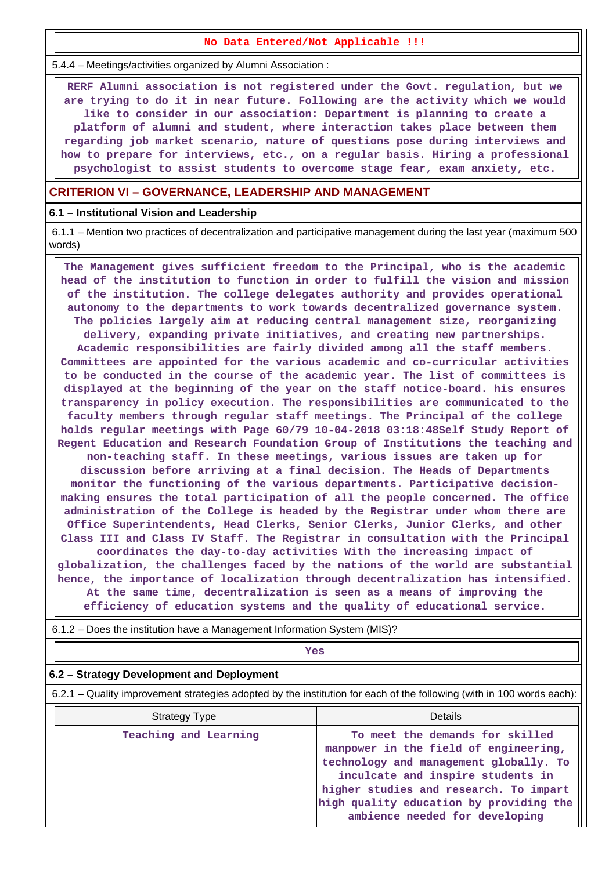#### **No Data Entered/Not Applicable !!!**

5.4.4 – Meetings/activities organized by Alumni Association :

 **RERF Alumni association is not registered under the Govt. regulation, but we are trying to do it in near future. Following are the activity which we would like to consider in our association: Department is planning to create a platform of alumni and student, where interaction takes place between them regarding job market scenario, nature of questions pose during interviews and how to prepare for interviews, etc., on a regular basis. Hiring a professional psychologist to assist students to overcome stage fear, exam anxiety, etc.**

### **CRITERION VI – GOVERNANCE, LEADERSHIP AND MANAGEMENT**

#### **6.1 – Institutional Vision and Leadership**

 6.1.1 – Mention two practices of decentralization and participative management during the last year (maximum 500 words)

 **The Management gives sufficient freedom to the Principal, who is the academic head of the institution to function in order to fulfill the vision and mission of the institution. The college delegates authority and provides operational autonomy to the departments to work towards decentralized governance system. The policies largely aim at reducing central management size, reorganizing delivery, expanding private initiatives, and creating new partnerships. Academic responsibilities are fairly divided among all the staff members. Committees are appointed for the various academic and co-curricular activities to be conducted in the course of the academic year. The list of committees is displayed at the beginning of the year on the staff notice-board. his ensures transparency in policy execution. The responsibilities are communicated to the faculty members through regular staff meetings. The Principal of the college holds regular meetings with Page 60/79 10-04-2018 03:18:48Self Study Report of Regent Education and Research Foundation Group of Institutions the teaching and non-teaching staff. In these meetings, various issues are taken up for discussion before arriving at a final decision. The Heads of Departments monitor the functioning of the various departments. Participative decisionmaking ensures the total participation of all the people concerned. The office administration of the College is headed by the Registrar under whom there are Office Superintendents, Head Clerks, Senior Clerks, Junior Clerks, and other Class III and Class IV Staff. The Registrar in consultation with the Principal coordinates the day-to-day activities With the increasing impact of globalization, the challenges faced by the nations of the world are substantial hence, the importance of localization through decentralization has intensified. At the same time, decentralization is seen as a means of improving the efficiency of education systems and the quality of educational service.**

6.1.2 – Does the institution have a Management Information System (MIS)?

# *Yes*

### **6.2 – Strategy Development and Deployment**

6.2.1 – Quality improvement strategies adopted by the institution for each of the following (with in 100 words each):

| Strategy Type         | Details                                                                                                                                                                                                                                                                        |
|-----------------------|--------------------------------------------------------------------------------------------------------------------------------------------------------------------------------------------------------------------------------------------------------------------------------|
| Teaching and Learning | To meet the demands for skilled<br>manpower in the field of engineering,<br>technology and management globally. To<br>inculcate and inspire students in<br>higher studies and research. To impart<br>high quality education by providing the<br>ambience needed for developing |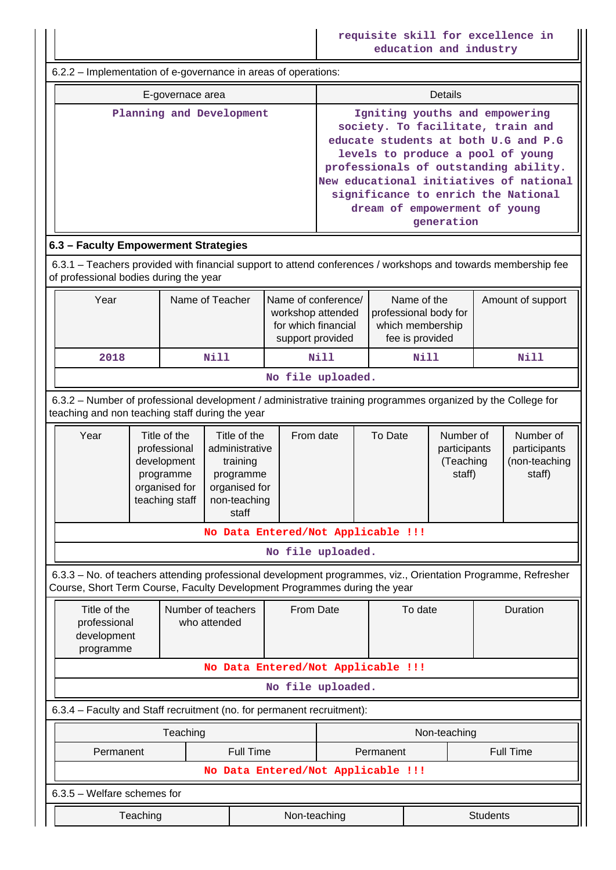**requisite skill for excellence in education and industry**

 6.2.2 – Implementation of e-governance in areas of operations: E-governace area **Details Planning and Development Igniting youths and empowering society. To facilitate, train and educate students at both U.G and P.G levels to produce a pool of young professionals of outstanding ability. New educational initiatives of national significance to enrich the National dream of empowerment of young generation 6.3 – Faculty Empowerment Strategies** 6.3.1 – Teachers provided with financial support to attend conferences / workshops and towards membership fee of professional bodies during the year Year | Name of Teacher | Name of conference/ workshop attended for which financial support provided Name of the professional body for which membership fee is provided Amount of support  **2018 Nill Nill Nill Nill No file uploaded.** 6.3.2 – Number of professional development / administrative training programmes organized by the College for teaching and non teaching staff during the year Year | Title of the professional development programme organised for teaching staff Title of the administrative training programme organised for non-teaching staff From date  $\begin{array}{ccc} \mid & \text{To Date} \mid & \text{Number of} \end{array}$ participants (Teaching staff) Number of participants (non-teaching staff) **No Data Entered/Not Applicable !!! No file uploaded.** 6.3.3 – No. of teachers attending professional development programmes, viz., Orientation Programme, Refresher Course, Short Term Course, Faculty Development Programmes during the year Title of the professional development programme Number of teachers who attended From Date  $\overline{a}$  To date  $\overline{a}$  Duration **No Data Entered/Not Applicable !!! No file uploaded.** 6.3.4 – Faculty and Staff recruitment (no. for permanent recruitment): Teaching Non-teaching Non-teaching Permanent | Full Time | Permanent | Full Time **No Data Entered/Not Applicable !!!** 6.3.5 – Welfare schemes for Teaching **Non-teaching** Non-teaching **Non-teaching** Students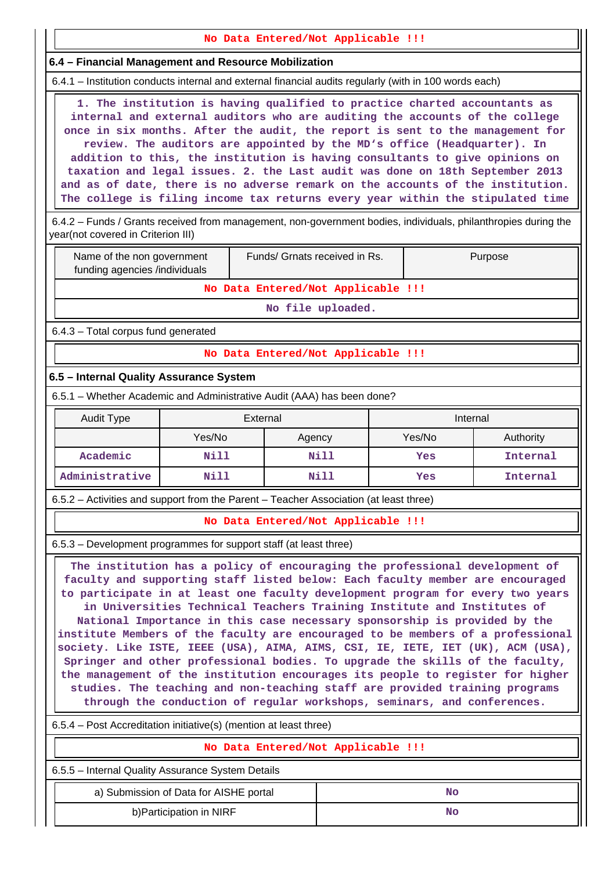**No Data Entered/Not Applicable !!! 6.4 – Financial Management and Resource Mobilization** 6.4.1 – Institution conducts internal and external financial audits regularly (with in 100 words each) **1. The institution is having qualified to practice charted accountants as internal and external auditors who are auditing the accounts of the college once in six months. After the audit, the report is sent to the management for review. The auditors are appointed by the MD's office (Headquarter). In addition to this, the institution is having consultants to give opinions on taxation and legal issues. 2. the Last audit was done on 18th September 2013 and as of date, there is no adverse remark on the accounts of the institution. The college is filing income tax returns every year within the stipulated time** 6.4.2 – Funds / Grants received from management, non-government bodies, individuals, philanthropies during the year(not covered in Criterion III) Name of the non government funding agencies /individuals Funds/ Grnats received in Rs. | Purpose **No Data Entered/Not Applicable !!! No file uploaded.** 6.4.3 – Total corpus fund generated **No Data Entered/Not Applicable !!! 6.5 – Internal Quality Assurance System** 6.5.1 – Whether Academic and Administrative Audit (AAA) has been done? **Audit Type**  The External The External Audit Type **Internal** Yes/No | Agency | Yes/No | Authority **Academic Nill Nill Yes Internal Administrative Nill Nill Yes Internal** 6.5.2 – Activities and support from the Parent – Teacher Association (at least three) **No Data Entered/Not Applicable !!!** 6.5.3 – Development programmes for support staff (at least three) **The institution has a policy of encouraging the professional development of faculty and supporting staff listed below: Each faculty member are encouraged to participate in at least one faculty development program for every two years in Universities Technical Teachers Training Institute and Institutes of National Importance in this case necessary sponsorship is provided by the institute Members of the faculty are encouraged to be members of a professional society. Like ISTE, IEEE (USA), AIMA, AIMS, CSI, IE, IETE, IET (UK), ACM (USA), Springer and other professional bodies. To upgrade the skills of the faculty, the management of the institution encourages its people to register for higher studies. The teaching and non-teaching staff are provided training programs through the conduction of regular workshops, seminars, and conferences.** 6.5.4 – Post Accreditation initiative(s) (mention at least three) **No Data Entered/Not Applicable !!!**

6.5.5 – Internal Quality Assurance System Details

a) Submission of Data for AISHE portal  $\vert$  **No** 

b)Participation in NIRF **No**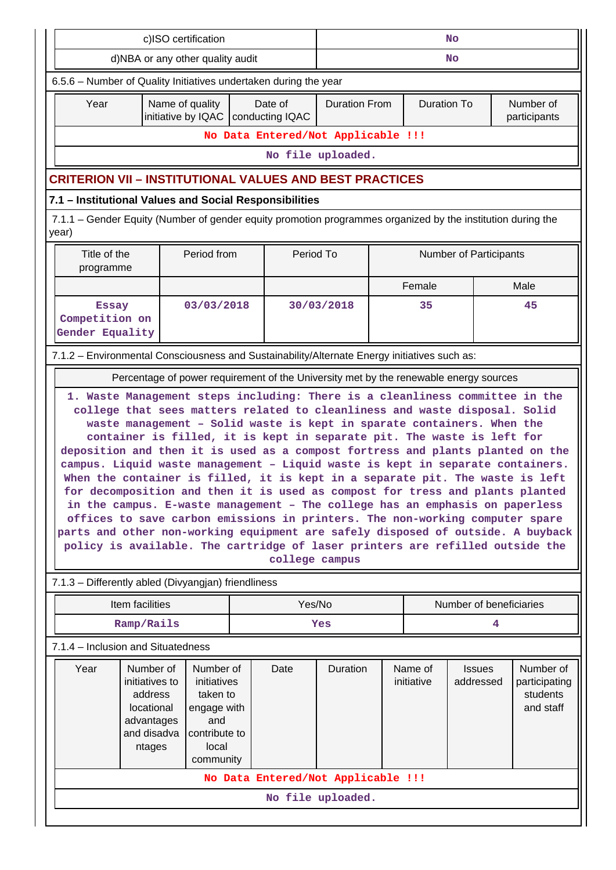| c)ISO certification                                                                                                                                                                                                                                                                                                                                                                                                                                                                                                                                                                                                                                                                                                                                                                                                                                                                                                        |                                                                                              |                                                                                                   |    | <b>No</b>                                       |                                            |    |                       |                            |                                                     |  |
|----------------------------------------------------------------------------------------------------------------------------------------------------------------------------------------------------------------------------------------------------------------------------------------------------------------------------------------------------------------------------------------------------------------------------------------------------------------------------------------------------------------------------------------------------------------------------------------------------------------------------------------------------------------------------------------------------------------------------------------------------------------------------------------------------------------------------------------------------------------------------------------------------------------------------|----------------------------------------------------------------------------------------------|---------------------------------------------------------------------------------------------------|----|-------------------------------------------------|--------------------------------------------|----|-----------------------|----------------------------|-----------------------------------------------------|--|
|                                                                                                                                                                                                                                                                                                                                                                                                                                                                                                                                                                                                                                                                                                                                                                                                                                                                                                                            | d)NBA or any other quality audit                                                             |                                                                                                   | No |                                                 |                                            |    |                       |                            |                                                     |  |
| 6.5.6 - Number of Quality Initiatives undertaken during the year                                                                                                                                                                                                                                                                                                                                                                                                                                                                                                                                                                                                                                                                                                                                                                                                                                                           |                                                                                              |                                                                                                   |    |                                                 |                                            |    |                       |                            |                                                     |  |
| Year                                                                                                                                                                                                                                                                                                                                                                                                                                                                                                                                                                                                                                                                                                                                                                                                                                                                                                                       |                                                                                              | Name of quality                                                                                   |    | Date of<br>initiative by IQAC   conducting IQAC | <b>Duration From</b><br><b>Duration To</b> |    |                       |                            | Number of<br>participants                           |  |
|                                                                                                                                                                                                                                                                                                                                                                                                                                                                                                                                                                                                                                                                                                                                                                                                                                                                                                                            | No Data Entered/Not Applicable !!!                                                           |                                                                                                   |    |                                                 |                                            |    |                       |                            |                                                     |  |
| No file uploaded.                                                                                                                                                                                                                                                                                                                                                                                                                                                                                                                                                                                                                                                                                                                                                                                                                                                                                                          |                                                                                              |                                                                                                   |    |                                                 |                                            |    |                       |                            |                                                     |  |
| <b>CRITERION VII - INSTITUTIONAL VALUES AND BEST PRACTICES</b>                                                                                                                                                                                                                                                                                                                                                                                                                                                                                                                                                                                                                                                                                                                                                                                                                                                             |                                                                                              |                                                                                                   |    |                                                 |                                            |    |                       |                            |                                                     |  |
| 7.1 - Institutional Values and Social Responsibilities                                                                                                                                                                                                                                                                                                                                                                                                                                                                                                                                                                                                                                                                                                                                                                                                                                                                     |                                                                                              |                                                                                                   |    |                                                 |                                            |    |                       |                            |                                                     |  |
| 7.1.1 – Gender Equity (Number of gender equity promotion programmes organized by the institution during the<br>year)                                                                                                                                                                                                                                                                                                                                                                                                                                                                                                                                                                                                                                                                                                                                                                                                       |                                                                                              |                                                                                                   |    |                                                 |                                            |    |                       |                            |                                                     |  |
| Title of the<br>programme                                                                                                                                                                                                                                                                                                                                                                                                                                                                                                                                                                                                                                                                                                                                                                                                                                                                                                  |                                                                                              | Period from                                                                                       |    |                                                 | Period To<br><b>Number of Participants</b> |    |                       |                            |                                                     |  |
|                                                                                                                                                                                                                                                                                                                                                                                                                                                                                                                                                                                                                                                                                                                                                                                                                                                                                                                            |                                                                                              |                                                                                                   |    |                                                 |                                            |    | Female                |                            | Male                                                |  |
| <b>Essay</b><br>Competition on<br>Gender Equality                                                                                                                                                                                                                                                                                                                                                                                                                                                                                                                                                                                                                                                                                                                                                                                                                                                                          |                                                                                              | 03/03/2018                                                                                        |    |                                                 | 30/03/2018                                 | 35 |                       |                            | 45                                                  |  |
|                                                                                                                                                                                                                                                                                                                                                                                                                                                                                                                                                                                                                                                                                                                                                                                                                                                                                                                            | 7.1.2 - Environmental Consciousness and Sustainability/Alternate Energy initiatives such as: |                                                                                                   |    |                                                 |                                            |    |                       |                            |                                                     |  |
| Percentage of power requirement of the University met by the renewable energy sources                                                                                                                                                                                                                                                                                                                                                                                                                                                                                                                                                                                                                                                                                                                                                                                                                                      |                                                                                              |                                                                                                   |    |                                                 |                                            |    |                       |                            |                                                     |  |
| college that sees matters related to cleanliness and waste disposal. Solid<br>waste management - Solid waste is kept in sparate containers. When the<br>container is filled, it is kept in separate pit. The waste is left for<br>deposition and then it is used as a compost fortress and plants planted on the<br>campus. Liquid waste management - Liquid waste is kept in separate containers.<br>When the container is filled, it is kept in a separate pit. The waste is left<br>for decomposition and then it is used as compost for tress and plants planted<br>in the campus. E-waste management - The college has an emphasis on paperless<br>offices to save carbon emissions in printers. The non-working computer spare<br>parts and other non-working equipment are safely disposed of outside. A buyback<br>policy is available. The cartridge of laser printers are refilled outside the<br>college campus |                                                                                              |                                                                                                   |    |                                                 |                                            |    |                       |                            |                                                     |  |
|                                                                                                                                                                                                                                                                                                                                                                                                                                                                                                                                                                                                                                                                                                                                                                                                                                                                                                                            | 7.1.3 - Differently abled (Divyangjan) friendliness                                          |                                                                                                   |    |                                                 |                                            |    |                       |                            |                                                     |  |
|                                                                                                                                                                                                                                                                                                                                                                                                                                                                                                                                                                                                                                                                                                                                                                                                                                                                                                                            | Item facilities                                                                              |                                                                                                   |    |                                                 | Yes/No<br>Number of beneficiaries          |    |                       |                            |                                                     |  |
|                                                                                                                                                                                                                                                                                                                                                                                                                                                                                                                                                                                                                                                                                                                                                                                                                                                                                                                            | Ramp/Rails                                                                                   |                                                                                                   |    |                                                 | Yes                                        | 4  |                       |                            |                                                     |  |
|                                                                                                                                                                                                                                                                                                                                                                                                                                                                                                                                                                                                                                                                                                                                                                                                                                                                                                                            | 7.1.4 - Inclusion and Situatedness                                                           |                                                                                                   |    |                                                 |                                            |    |                       |                            |                                                     |  |
| Year                                                                                                                                                                                                                                                                                                                                                                                                                                                                                                                                                                                                                                                                                                                                                                                                                                                                                                                       | Number of<br>initiatives to<br>address<br>locational<br>advantages<br>and disadva<br>ntages  | Number of<br>initiatives<br>taken to<br>engage with<br>and<br>contribute to<br>local<br>community |    | Date                                            | Duration                                   |    | Name of<br>initiative | <b>Issues</b><br>addressed | Number of<br>participating<br>students<br>and staff |  |
| No Data Entered/Not Applicable !!!                                                                                                                                                                                                                                                                                                                                                                                                                                                                                                                                                                                                                                                                                                                                                                                                                                                                                         |                                                                                              |                                                                                                   |    |                                                 |                                            |    |                       |                            |                                                     |  |
|                                                                                                                                                                                                                                                                                                                                                                                                                                                                                                                                                                                                                                                                                                                                                                                                                                                                                                                            |                                                                                              |                                                                                                   |    |                                                 | No file uploaded.                          |    |                       |                            |                                                     |  |
|                                                                                                                                                                                                                                                                                                                                                                                                                                                                                                                                                                                                                                                                                                                                                                                                                                                                                                                            |                                                                                              |                                                                                                   |    |                                                 |                                            |    |                       |                            |                                                     |  |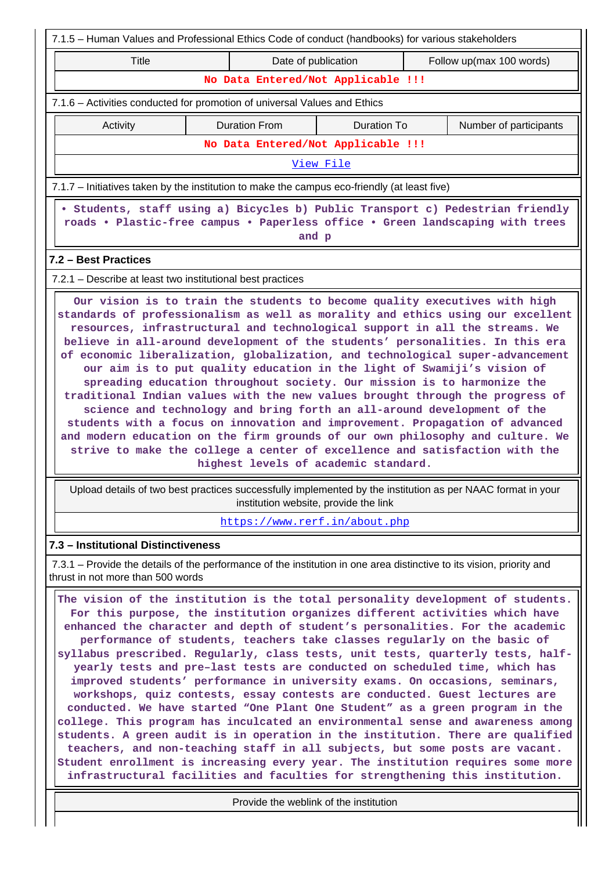|                                                                                                                                                                                                                                                                                                                                                                                                                                                                                                                                                                                                                                                                                                                                                                                                                                                                                                                                                                                                                                                                                        | 7.1.5 - Human Values and Professional Ethics Code of conduct (handbooks) for various stakeholders |                                    |  |                        |  |  |  |  |
|----------------------------------------------------------------------------------------------------------------------------------------------------------------------------------------------------------------------------------------------------------------------------------------------------------------------------------------------------------------------------------------------------------------------------------------------------------------------------------------------------------------------------------------------------------------------------------------------------------------------------------------------------------------------------------------------------------------------------------------------------------------------------------------------------------------------------------------------------------------------------------------------------------------------------------------------------------------------------------------------------------------------------------------------------------------------------------------|---------------------------------------------------------------------------------------------------|------------------------------------|--|------------------------|--|--|--|--|
| <b>Title</b>                                                                                                                                                                                                                                                                                                                                                                                                                                                                                                                                                                                                                                                                                                                                                                                                                                                                                                                                                                                                                                                                           | Date of publication<br>Follow up(max 100 words)                                                   |                                    |  |                        |  |  |  |  |
| No Data Entered/Not Applicable !!!                                                                                                                                                                                                                                                                                                                                                                                                                                                                                                                                                                                                                                                                                                                                                                                                                                                                                                                                                                                                                                                     |                                                                                                   |                                    |  |                        |  |  |  |  |
| 7.1.6 - Activities conducted for promotion of universal Values and Ethics                                                                                                                                                                                                                                                                                                                                                                                                                                                                                                                                                                                                                                                                                                                                                                                                                                                                                                                                                                                                              |                                                                                                   |                                    |  |                        |  |  |  |  |
| Activity                                                                                                                                                                                                                                                                                                                                                                                                                                                                                                                                                                                                                                                                                                                                                                                                                                                                                                                                                                                                                                                                               | <b>Duration From</b>                                                                              | <b>Duration To</b>                 |  | Number of participants |  |  |  |  |
|                                                                                                                                                                                                                                                                                                                                                                                                                                                                                                                                                                                                                                                                                                                                                                                                                                                                                                                                                                                                                                                                                        |                                                                                                   | No Data Entered/Not Applicable !!! |  |                        |  |  |  |  |
|                                                                                                                                                                                                                                                                                                                                                                                                                                                                                                                                                                                                                                                                                                                                                                                                                                                                                                                                                                                                                                                                                        | View File                                                                                         |                                    |  |                        |  |  |  |  |
| 7.1.7 – Initiatives taken by the institution to make the campus eco-friendly (at least five)                                                                                                                                                                                                                                                                                                                                                                                                                                                                                                                                                                                                                                                                                                                                                                                                                                                                                                                                                                                           |                                                                                                   |                                    |  |                        |  |  |  |  |
| · Students, staff using a) Bicycles b) Public Transport c) Pedestrian friendly<br>roads . Plastic-free campus . Paperless office . Green landscaping with trees<br>and p                                                                                                                                                                                                                                                                                                                                                                                                                                                                                                                                                                                                                                                                                                                                                                                                                                                                                                               |                                                                                                   |                                    |  |                        |  |  |  |  |
| 7.2 - Best Practices                                                                                                                                                                                                                                                                                                                                                                                                                                                                                                                                                                                                                                                                                                                                                                                                                                                                                                                                                                                                                                                                   |                                                                                                   |                                    |  |                        |  |  |  |  |
| 7.2.1 – Describe at least two institutional best practices                                                                                                                                                                                                                                                                                                                                                                                                                                                                                                                                                                                                                                                                                                                                                                                                                                                                                                                                                                                                                             |                                                                                                   |                                    |  |                        |  |  |  |  |
| resources, infrastructural and technological support in all the streams. We<br>believe in all-around development of the students' personalities. In this era<br>of economic liberalization, globalization, and technological super-advancement<br>our aim is to put quality education in the light of Swamiji's vision of<br>spreading education throughout society. Our mission is to harmonize the<br>traditional Indian values with the new values brought through the progress of<br>science and technology and bring forth an all-around development of the<br>students with a focus on innovation and improvement. Propagation of advanced<br>and modern education on the firm grounds of our own philosophy and culture. We<br>strive to make the college a center of excellence and satisfaction with the<br>highest levels of academic standard.                                                                                                                                                                                                                              |                                                                                                   |                                    |  |                        |  |  |  |  |
| Upload details of two best practices successfully implemented by the institution as per NAAC format in your<br>institution website, provide the link                                                                                                                                                                                                                                                                                                                                                                                                                                                                                                                                                                                                                                                                                                                                                                                                                                                                                                                                   |                                                                                                   |                                    |  |                        |  |  |  |  |
| https://www.rerf.in/about.php                                                                                                                                                                                                                                                                                                                                                                                                                                                                                                                                                                                                                                                                                                                                                                                                                                                                                                                                                                                                                                                          |                                                                                                   |                                    |  |                        |  |  |  |  |
| 7.3 - Institutional Distinctiveness                                                                                                                                                                                                                                                                                                                                                                                                                                                                                                                                                                                                                                                                                                                                                                                                                                                                                                                                                                                                                                                    |                                                                                                   |                                    |  |                        |  |  |  |  |
| 7.3.1 – Provide the details of the performance of the institution in one area distinctive to its vision, priority and<br>thrust in not more than 500 words                                                                                                                                                                                                                                                                                                                                                                                                                                                                                                                                                                                                                                                                                                                                                                                                                                                                                                                             |                                                                                                   |                                    |  |                        |  |  |  |  |
| The vision of the institution is the total personality development of students.<br>For this purpose, the institution organizes different activities which have<br>enhanced the character and depth of student's personalities. For the academic<br>syllabus prescribed. Regularly, class tests, unit tests, quarterly tests, half-<br>yearly tests and pre-last tests are conducted on scheduled time, which has<br>improved students' performance in university exams. On occasions, seminars,<br>workshops, quiz contests, essay contests are conducted. Guest lectures are<br>conducted. We have started "One Plant One Student" as a green program in the<br>college. This program has inculcated an environmental sense and awareness among<br>students. A green audit is in operation in the institution. There are qualified<br>teachers, and non-teaching staff in all subjects, but some posts are vacant.<br>Student enrollment is increasing every year. The institution requires some more<br>infrastructural facilities and faculties for strengthening this institution. | performance of students, teachers take classes regularly on the basic of                          |                                    |  |                        |  |  |  |  |
| Provide the weblink of the institution                                                                                                                                                                                                                                                                                                                                                                                                                                                                                                                                                                                                                                                                                                                                                                                                                                                                                                                                                                                                                                                 |                                                                                                   |                                    |  |                        |  |  |  |  |